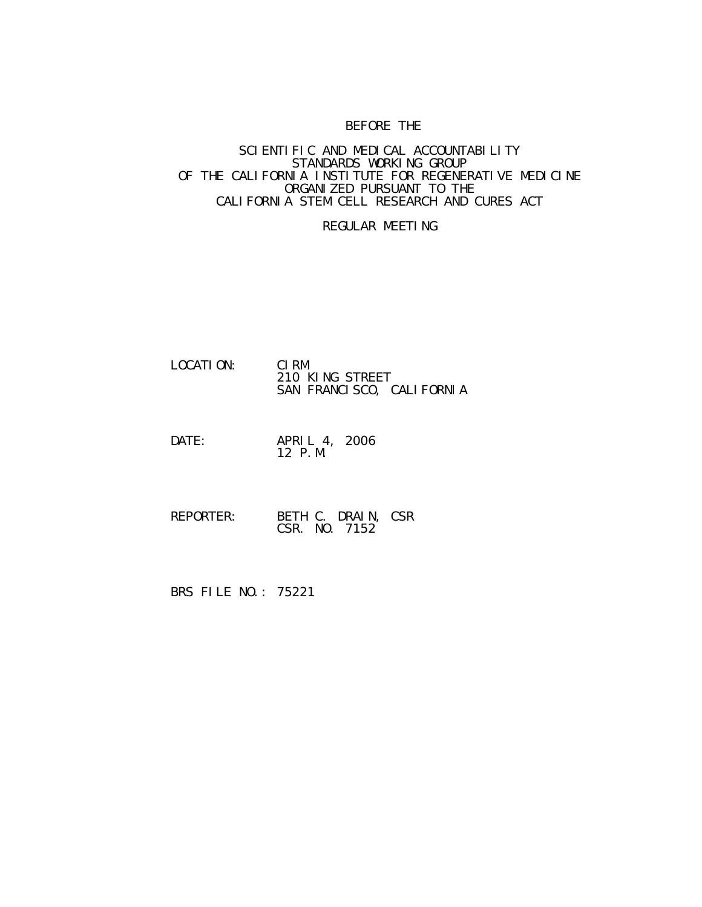# BEFORE THE

### SCIENTIFIC AND MEDICAL ACCOUNTABILITY STANDARDS WORKING GROUP OF THE CALIFORNIA INSTITUTE FOR REGENERATIVE MEDICINE ORGANIZED PURSUANT TO THE CALIFORNIA STEM CELL RESEARCH AND CURES ACT

## REGULAR MEETING

| LOCATI ON: | CI RM                     |
|------------|---------------------------|
|            | 210 KING STREET           |
|            | SAN FRANCISCO, CALIFORNIA |

#### DATE: APRIL 4, 2006 12 P.M.

 REPORTER: BETH C. DRAIN, CSR CSR. NO. 7152

BRS FILE NO.: 75221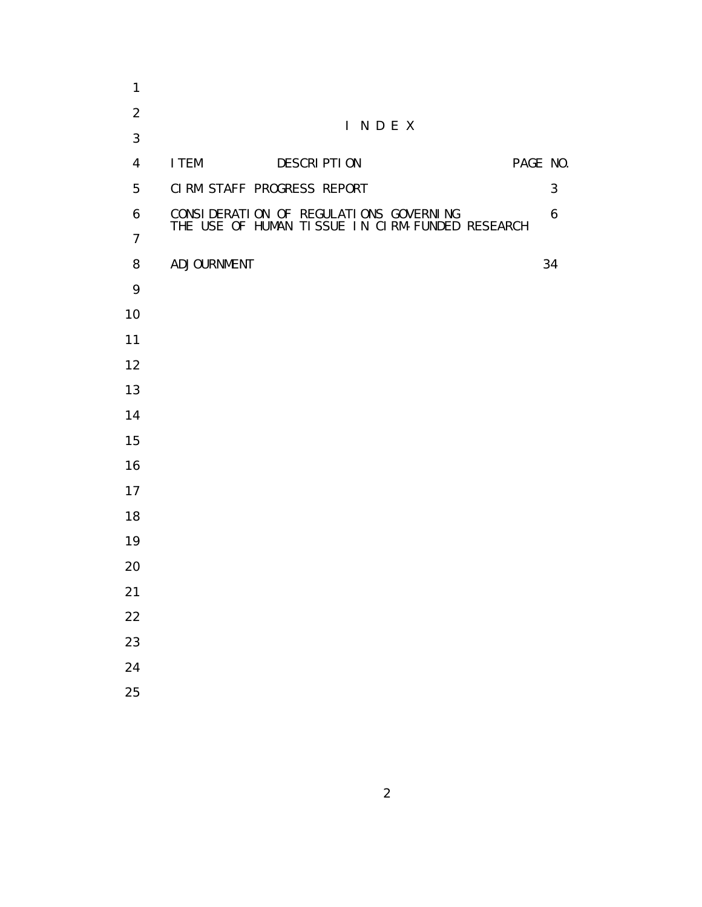| $\mathbf{1}$   |                                                 |          |
|----------------|-------------------------------------------------|----------|
| $\overline{2}$ | INDEX                                           |          |
| 3              |                                                 |          |
| 4              | I TEM<br><b>DESCRIPTION</b>                     | PAGE NO. |
| 5              | CIRM STAFF PROGRESS REPORT                      | 3        |
| 6              | CONSI DERATI ON OF REGULATI ONS GOVERNING       | 6        |
| $\overline{7}$ | THE USE OF HUMAN TISSUE IN CIRM-FUNDED RESEARCH |          |
| 8              | ADJOURNMENT                                     | 34       |
| 9              |                                                 |          |
| 10             |                                                 |          |
| 11             |                                                 |          |
| 12             |                                                 |          |
| 13             |                                                 |          |
| 14             |                                                 |          |
| 15             |                                                 |          |
| 16             |                                                 |          |
| 17             |                                                 |          |
| 18             |                                                 |          |
| 19             |                                                 |          |
| 20             |                                                 |          |
| 21             |                                                 |          |
| 22             |                                                 |          |
| 23             |                                                 |          |
| 24             |                                                 |          |
| 25             |                                                 |          |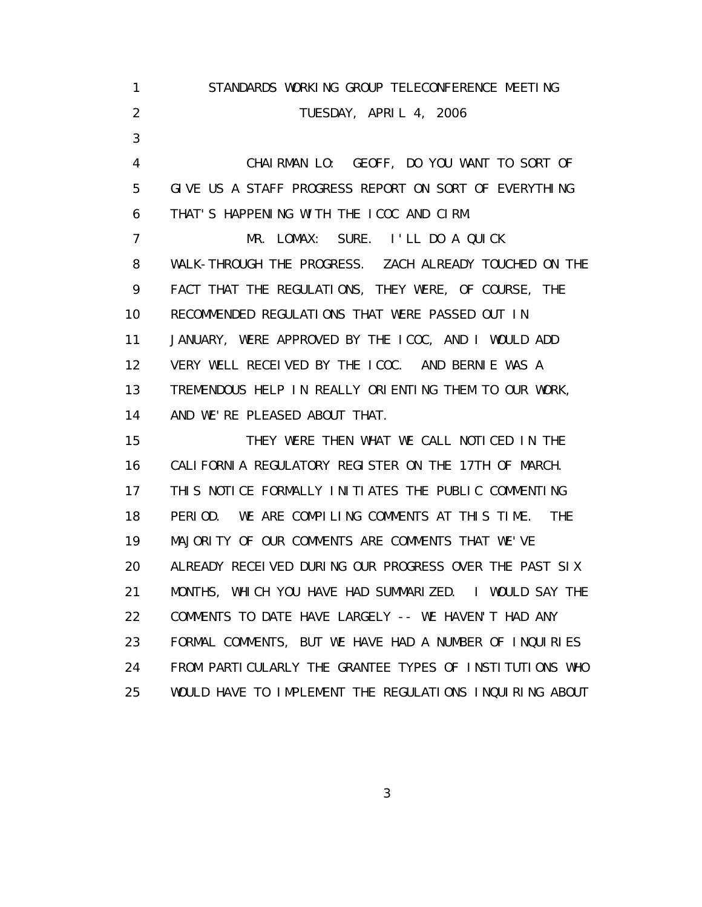1 STANDARDS WORKING GROUP TELECONFERENCE MEETING 2 TUESDAY, APRIL 4, 2006 3 4 CHAIRMAN LO: GEOFF, DO YOU WANT TO SORT OF 5 GIVE US A STAFF PROGRESS REPORT ON SORT OF EVERYTHING 6 THAT'S HAPPENING WITH THE ICOC AND CIRM. 7 MR. LOMAX: SURE. I'LL DO A QUICK 8 WALK-THROUGH THE PROGRESS. ZACH ALREADY TOUCHED ON THE 9 FACT THAT THE REGULATIONS, THEY WERE, OF COURSE, THE 10 RECOMMENDED REGULATIONS THAT WERE PASSED OUT IN 11 JANUARY, WERE APPROVED BY THE ICOC, AND I WOULD ADD 12 VERY WELL RECEIVED BY THE ICOC. AND BERNIE WAS A 13 TREMENDOUS HELP IN REALLY ORIENTING THEM TO OUR WORK, 14 AND WE'RE PLEASED ABOUT THAT. 15 THEY WERE THEN WHAT WE CALL NOTICED IN THE 16 CALIFORNIA REGULATORY REGISTER ON THE 17TH OF MARCH. 17 THIS NOTICE FORMALLY INITIATES THE PUBLIC COMMENTING 18 PERIOD. WE ARE COMPILING COMMENTS AT THIS TIME. THE 19 MAJORITY OF OUR COMMENTS ARE COMMENTS THAT WE'VE 20 ALREADY RECEIVED DURING OUR PROGRESS OVER THE PAST SIX 21 MONTHS, WHICH YOU HAVE HAD SUMMARIZED. I WOULD SAY THE 22 COMMENTS TO DATE HAVE LARGELY -- WE HAVEN'T HAD ANY 23 FORMAL COMMENTS, BUT WE HAVE HAD A NUMBER OF INQUIRIES 24 FROM PARTICULARLY THE GRANTEE TYPES OF INSTITUTIONS WHO 25 WOULD HAVE TO IMPLEMENT THE REGULATIONS INQUIRING ABOUT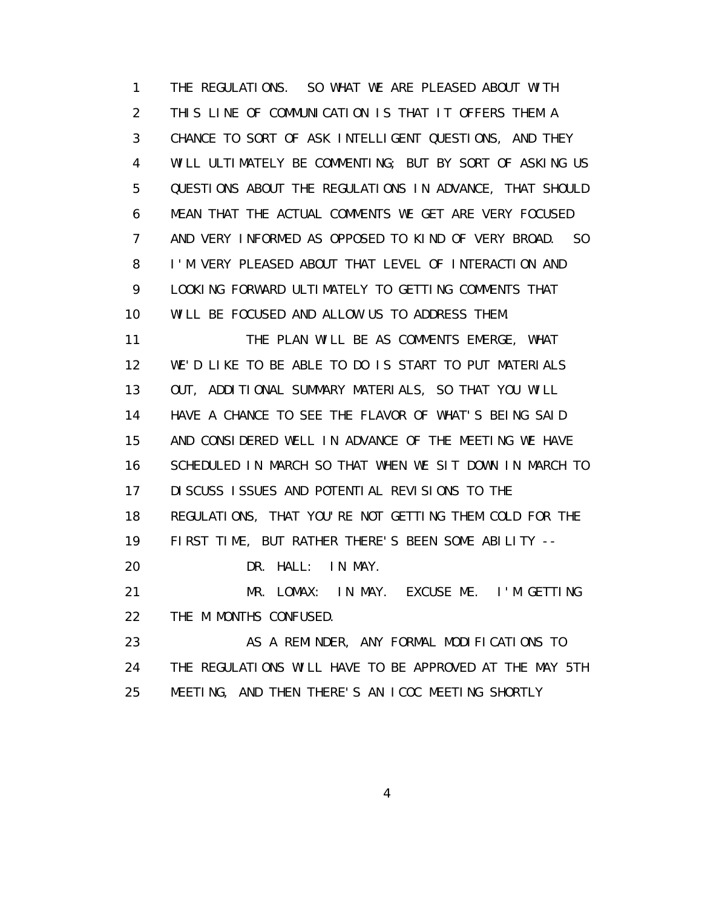1 THE REGULATIONS. SO WHAT WE ARE PLEASED ABOUT WITH 2 THIS LINE OF COMMUNICATION IS THAT IT OFFERS THEM A 3 CHANCE TO SORT OF ASK INTELLIGENT QUESTIONS, AND THEY 4 WILL ULTIMATELY BE COMMENTING; BUT BY SORT OF ASKING US 5 QUESTIONS ABOUT THE REGULATIONS IN ADVANCE, THAT SHOULD 6 MEAN THAT THE ACTUAL COMMENTS WE GET ARE VERY FOCUSED 7 AND VERY INFORMED AS OPPOSED TO KIND OF VERY BROAD. SO 8 I'M VERY PLEASED ABOUT THAT LEVEL OF INTERACTION AND 9 LOOKING FORWARD ULTIMATELY TO GETTING COMMENTS THAT 10 WILL BE FOCUSED AND ALLOW US TO ADDRESS THEM. 11 THE PLAN WILL BE AS COMMENTS EMERGE, WHAT 12 WE'D LIKE TO BE ABLE TO DO IS START TO PUT MATERIALS

 13 OUT, ADDITIONAL SUMMARY MATERIALS, SO THAT YOU WILL 14 HAVE A CHANCE TO SEE THE FLAVOR OF WHAT'S BEING SAID 15 AND CONSIDERED WELL IN ADVANCE OF THE MEETING WE HAVE 16 SCHEDULED IN MARCH SO THAT WHEN WE SIT DOWN IN MARCH TO 17 DISCUSS ISSUES AND POTENTIAL REVISIONS TO THE 18 REGULATIONS, THAT YOU'RE NOT GETTING THEM COLD FOR THE

19 FIRST TIME, BUT RATHER THERE'S BEEN SOME ABILITY --

20 DR. HALL: IN MAY.

 21 MR. LOMAX: IN MAY. EXCUSE ME. I'M GETTING 22 THE M MONTHS CONFUSED.

23 AS A REMINDER, ANY FORMAL MODIFICATIONS TO 24 THE REGULATIONS WILL HAVE TO BE APPROVED AT THE MAY 5TH 25 MEETING, AND THEN THERE'S AN ICOC MEETING SHORTLY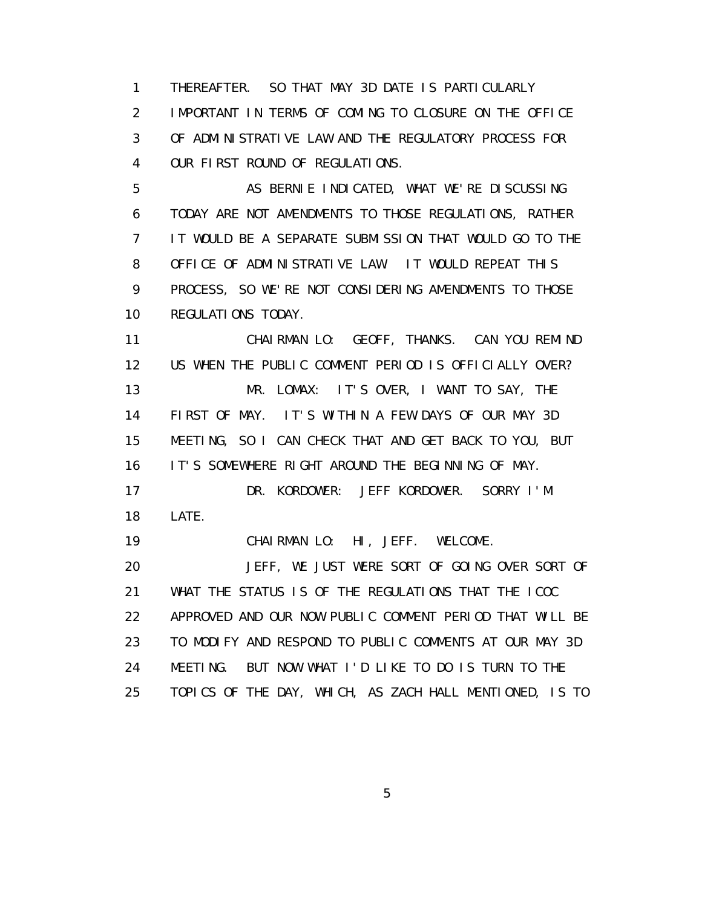1 THEREAFTER. SO THAT MAY 3D DATE IS PARTICULARLY 2 IMPORTANT IN TERMS OF COMING TO CLOSURE ON THE OFFICE 3 OF ADMINISTRATIVE LAW AND THE REGULATORY PROCESS FOR 4 OUR FIRST ROUND OF REGULATIONS.

5 AS BERNIE INDICATED, WHAT WE'RE DISCUSSING 6 TODAY ARE NOT AMENDMENTS TO THOSE REGULATIONS, RATHER 7 IT WOULD BE A SEPARATE SUBMISSION THAT WOULD GO TO THE 8 OFFICE OF ADMINISTRATIVE LAW. IT WOULD REPEAT THIS 9 PROCESS, SO WE'RE NOT CONSIDERING AMENDMENTS TO THOSE 10 REGULATIONS TODAY.

 11 CHAIRMAN LO: GEOFF, THANKS. CAN YOU REMIND 12 US WHEN THE PUBLIC COMMENT PERIOD IS OFFICIALLY OVER? 13 MR. LOMAX: IT'S OVER, I WANT TO SAY, THE 14 FIRST OF MAY. IT'S WITHIN A FEW DAYS OF OUR MAY 3D 15 MEETING, SO I CAN CHECK THAT AND GET BACK TO YOU, BUT 16 IT'S SOMEWHERE RIGHT AROUND THE BEGINNING OF MAY. 17 DR. KORDOWER: JEFF KORDOWER. SORRY I'M 18 LATE. 19 CHAIRMAN LO: HI, JEFF. WELCOME. 20 JEFF, WE JUST WERE SORT OF GOING OVER SORT OF 21 WHAT THE STATUS IS OF THE REGULATIONS THAT THE ICOC 22 APPROVED AND OUR NOW PUBLIC COMMENT PERIOD THAT WILL BE 23 TO MODIFY AND RESPOND TO PUBLIC COMMENTS AT OUR MAY 3D 24 MEETING. BUT NOW WHAT I'D LIKE TO DO IS TURN TO THE 25 TOPICS OF THE DAY, WHICH, AS ZACH HALL MENTIONED, IS TO

 $\sim$  5  $\sim$  5  $\sim$  5  $\sim$  5  $\sim$  5  $\sim$  5  $\sim$  5  $\sim$  5  $\sim$  5  $\sim$  5  $\sim$  5  $\sim$  5  $\sim$  5  $\sim$  5  $\sim$  5  $\sim$  5  $\sim$  5  $\sim$  5  $\sim$  5  $\sim$  5  $\sim$  5  $\sim$  5  $\sim$  5  $\sim$  5  $\sim$  5  $\sim$  5  $\sim$  5  $\sim$  5  $\sim$  5  $\sim$  5  $\sim$  5  $\sim$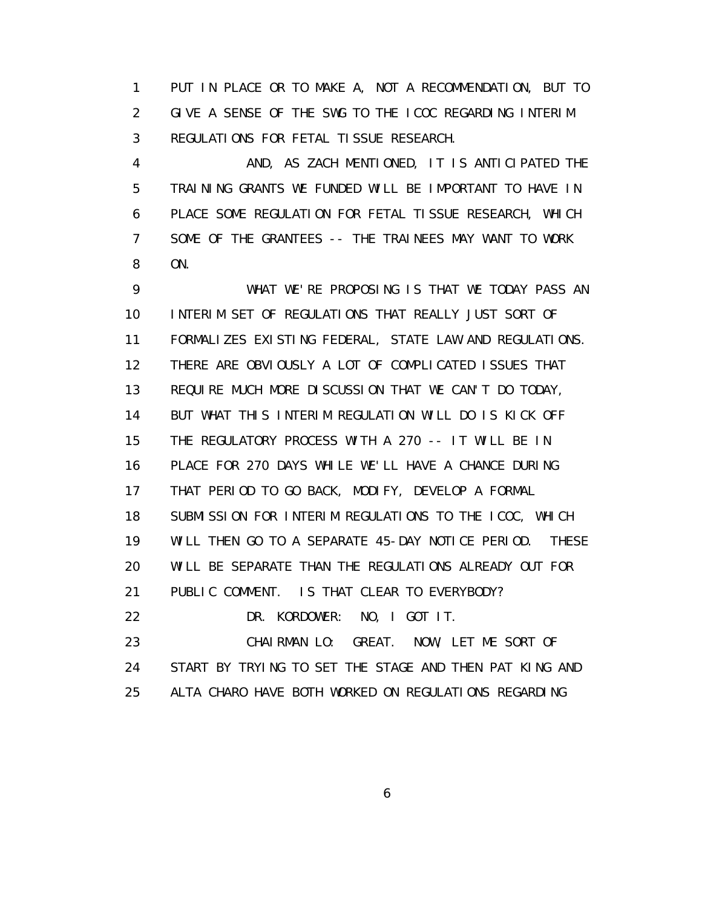1 PUT IN PLACE OR TO MAKE A, NOT A RECOMMENDATION, BUT TO 2 GIVE A SENSE OF THE SWG TO THE ICOC REGARDING INTERIM 3 REGULATIONS FOR FETAL TISSUE RESEARCH.

 4 AND, AS ZACH MENTIONED, IT IS ANTICIPATED THE 5 TRAINING GRANTS WE FUNDED WILL BE IMPORTANT TO HAVE IN 6 PLACE SOME REGULATION FOR FETAL TISSUE RESEARCH, WHICH 7 SOME OF THE GRANTEES -- THE TRAINEES MAY WANT TO WORK 8 ON.

 9 WHAT WE'RE PROPOSING IS THAT WE TODAY PASS AN 10 INTERIM SET OF REGULATIONS THAT REALLY JUST SORT OF 11 FORMALIZES EXISTING FEDERAL, STATE LAW AND REGULATIONS. 12 THERE ARE OBVIOUSLY A LOT OF COMPLICATED ISSUES THAT 13 REQUIRE MUCH MORE DISCUSSION THAT WE CAN'T DO TODAY, 14 BUT WHAT THIS INTERIM REGULATION WILL DO IS KICK OFF 15 THE REGULATORY PROCESS WITH A 270 -- IT WILL BE IN 16 PLACE FOR 270 DAYS WHILE WE'LL HAVE A CHANCE DURING 17 THAT PERIOD TO GO BACK, MODIFY, DEVELOP A FORMAL 18 SUBMISSION FOR INTERIM REGULATIONS TO THE ICOC, WHICH 19 WILL THEN GO TO A SEPARATE 45-DAY NOTICE PERIOD. THESE 20 WILL BE SEPARATE THAN THE REGULATIONS ALREADY OUT FOR 21 PUBLIC COMMENT. IS THAT CLEAR TO EVERYBODY? 22 DR. KORDOWER: NO, I GOT IT. 23 CHAIRMAN LO: GREAT. NOW, LET ME SORT OF 24 START BY TRYING TO SET THE STAGE AND THEN PAT KING AND 25 ALTA CHARO HAVE BOTH WORKED ON REGULATIONS REGARDING

 $\sim$  6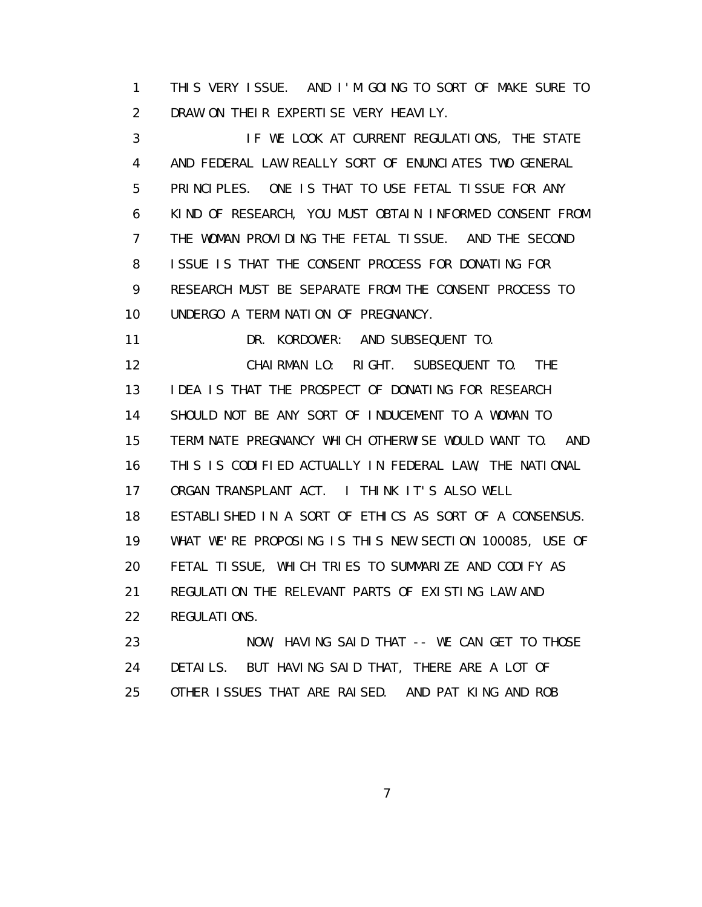1 THIS VERY ISSUE. AND I'M GOING TO SORT OF MAKE SURE TO 2 DRAW ON THEIR EXPERTISE VERY HEAVILY.

 3 IF WE LOOK AT CURRENT REGULATIONS, THE STATE 4 AND FEDERAL LAW REALLY SORT OF ENUNCIATES TWO GENERAL 5 PRINCIPLES. ONE IS THAT TO USE FETAL TISSUE FOR ANY 6 KIND OF RESEARCH, YOU MUST OBTAIN INFORMED CONSENT FROM 7 THE WOMAN PROVIDING THE FETAL TISSUE. AND THE SECOND 8 ISSUE IS THAT THE CONSENT PROCESS FOR DONATING FOR 9 RESEARCH MUST BE SEPARATE FROM THE CONSENT PROCESS TO 10 UNDERGO A TERMINATION OF PREGNANCY.

11 DR. KORDOWER: AND SUBSEQUENT TO.

 12 CHAIRMAN LO: RIGHT. SUBSEQUENT TO. THE 13 IDEA IS THAT THE PROSPECT OF DONATING FOR RESEARCH 14 SHOULD NOT BE ANY SORT OF INDUCEMENT TO A WOMAN TO 15 TERMINATE PREGNANCY WHICH OTHERWISE WOULD WANT TO. AND 16 THIS IS CODIFIED ACTUALLY IN FEDERAL LAW, THE NATIONAL 17 ORGAN TRANSPLANT ACT. I THINK IT'S ALSO WELL 18 ESTABLISHED IN A SORT OF ETHICS AS SORT OF A CONSENSUS. 19 WHAT WE'RE PROPOSING IS THIS NEW SECTION 100085, USE OF 20 FETAL TISSUE, WHICH TRIES TO SUMMARIZE AND CODIFY AS 21 REGULATION THE RELEVANT PARTS OF EXISTING LAW AND 22 REGULATIONS.

23 NOW, HAVING SAID THAT -- WE CAN GET TO THOSE 24 DETAILS. BUT HAVING SAID THAT, THERE ARE A LOT OF 25 OTHER ISSUES THAT ARE RAISED. AND PAT KING AND ROB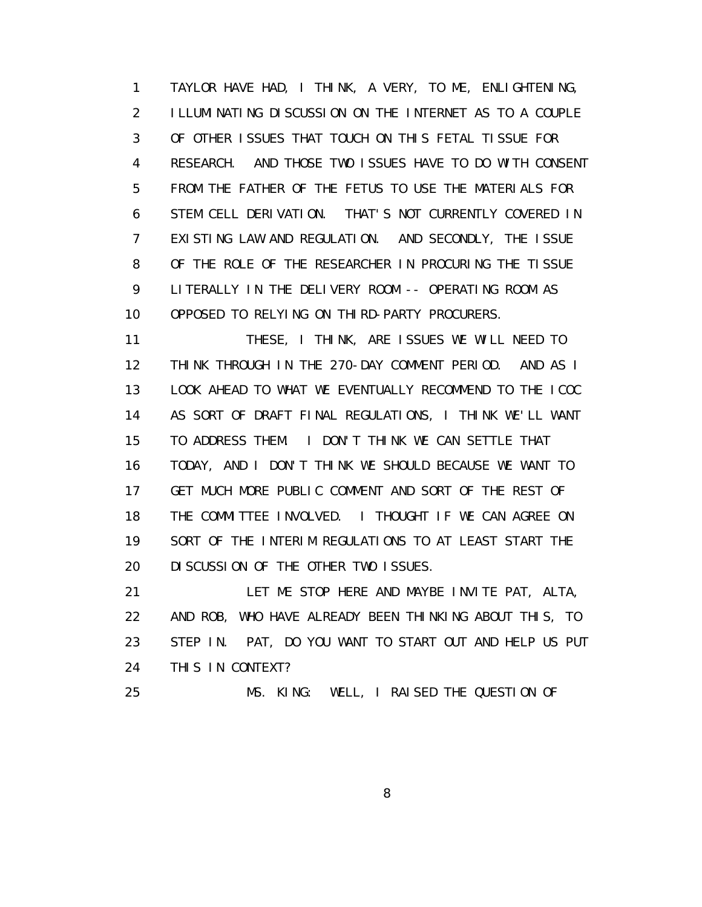1 TAYLOR HAVE HAD, I THINK, A VERY, TO ME, ENLIGHTENING, 2 ILLUMINATING DISCUSSION ON THE INTERNET AS TO A COUPLE 3 OF OTHER ISSUES THAT TOUCH ON THIS FETAL TISSUE FOR 4 RESEARCH. AND THOSE TWO ISSUES HAVE TO DO WITH CONSENT 5 FROM THE FATHER OF THE FETUS TO USE THE MATERIALS FOR 6 STEM CELL DERIVATION. THAT'S NOT CURRENTLY COVERED IN 7 EXISTING LAW AND REGULATION. AND SECONDLY, THE ISSUE 8 OF THE ROLE OF THE RESEARCHER IN PROCURING THE TISSUE 9 LITERALLY IN THE DELIVERY ROOM -- OPERATING ROOM AS 10 OPPOSED TO RELYING ON THIRD-PARTY PROCURERS.

 11 THESE, I THINK, ARE ISSUES WE WILL NEED TO 12 THINK THROUGH IN THE 270-DAY COMMENT PERIOD. AND AS I 13 LOOK AHEAD TO WHAT WE EVENTUALLY RECOMMEND TO THE ICOC 14 AS SORT OF DRAFT FINAL REGULATIONS, I THINK WE'LL WANT 15 TO ADDRESS THEM. I DON'T THINK WE CAN SETTLE THAT 16 TODAY, AND I DON'T THINK WE SHOULD BECAUSE WE WANT TO 17 GET MUCH MORE PUBLIC COMMENT AND SORT OF THE REST OF 18 THE COMMITTEE INVOLVED. I THOUGHT IF WE CAN AGREE ON 19 SORT OF THE INTERIM REGULATIONS TO AT LEAST START THE 20 DISCUSSION OF THE OTHER TWO ISSUES.

 21 LET ME STOP HERE AND MAYBE INVITE PAT, ALTA, 22 AND ROB, WHO HAVE ALREADY BEEN THINKING ABOUT THIS, TO 23 STEP IN. PAT, DO YOU WANT TO START OUT AND HELP US PUT 24 THIS IN CONTEXT?

25 MS. KING: WELL, I RAISED THE QUESTION OF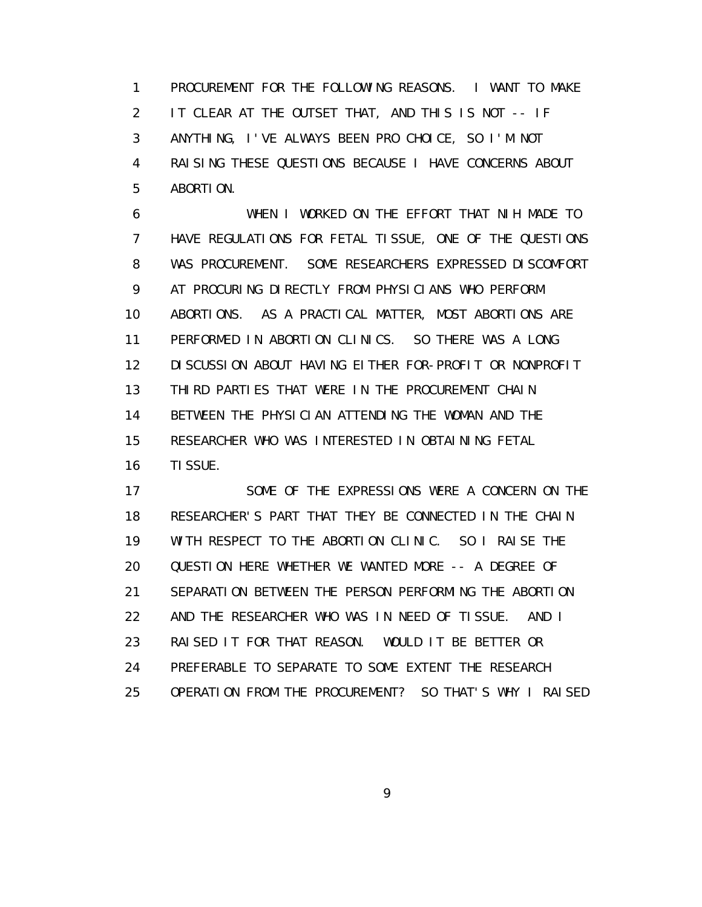1 PROCUREMENT FOR THE FOLLOWING REASONS. I WANT TO MAKE 2 IT CLEAR AT THE OUTSET THAT, AND THIS IS NOT -- IF 3 ANYTHING, I'VE ALWAYS BEEN PRO CHOICE, SO I'M NOT 4 RAISING THESE QUESTIONS BECAUSE I HAVE CONCERNS ABOUT 5 ABORTION.

 6 WHEN I WORKED ON THE EFFORT THAT NIH MADE TO 7 HAVE REGULATIONS FOR FETAL TISSUE, ONE OF THE QUESTIONS 8 WAS PROCUREMENT. SOME RESEARCHERS EXPRESSED DISCOMFORT 9 AT PROCURING DIRECTLY FROM PHYSICIANS WHO PERFORM 10 ABORTIONS. AS A PRACTICAL MATTER, MOST ABORTIONS ARE 11 PERFORMED IN ABORTION CLINICS. SO THERE WAS A LONG 12 DISCUSSION ABOUT HAVING EITHER FOR-PROFIT OR NONPROFIT 13 THIRD PARTIES THAT WERE IN THE PROCUREMENT CHAIN 14 BETWEEN THE PHYSICIAN ATTENDING THE WOMAN AND THE 15 RESEARCHER WHO WAS INTERESTED IN OBTAINING FETAL 16 TISSUE.

 17 SOME OF THE EXPRESSIONS WERE A CONCERN ON THE 18 RESEARCHER'S PART THAT THEY BE CONNECTED IN THE CHAIN 19 WITH RESPECT TO THE ABORTION CLINIC. SO I RAISE THE 20 QUESTION HERE WHETHER WE WANTED MORE -- A DEGREE OF 21 SEPARATION BETWEEN THE PERSON PERFORMING THE ABORTION 22 AND THE RESEARCHER WHO WAS IN NEED OF TISSUE. AND I 23 RAISED IT FOR THAT REASON. WOULD IT BE BETTER OR 24 PREFERABLE TO SEPARATE TO SOME EXTENT THE RESEARCH 25 OPERATION FROM THE PROCUREMENT? SO THAT'S WHY I RAISED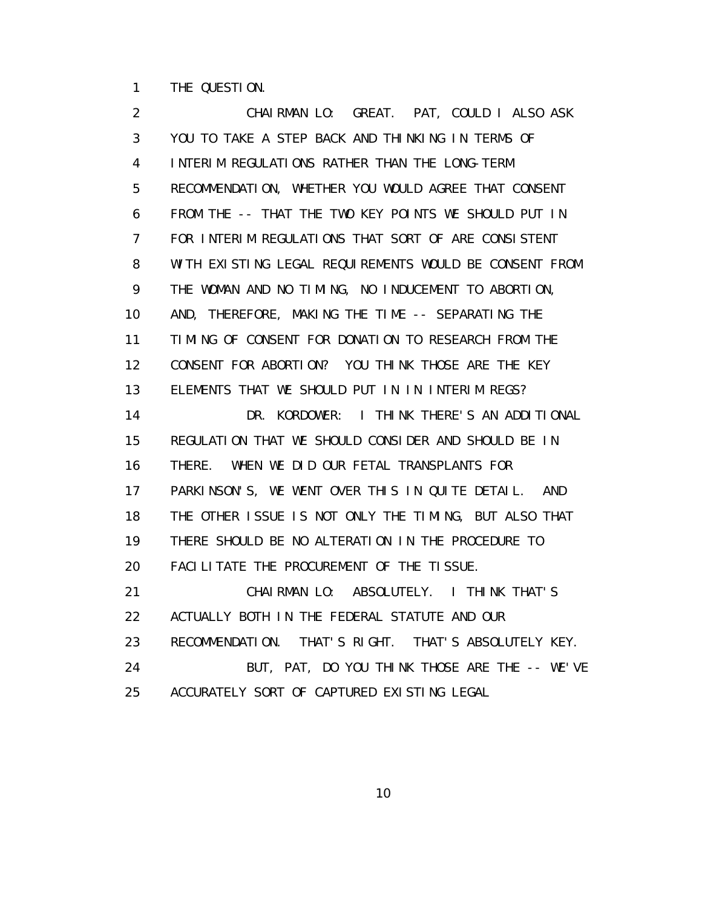1 THE QUESTION.

 2 CHAIRMAN LO: GREAT. PAT, COULD I ALSO ASK 3 YOU TO TAKE A STEP BACK AND THINKING IN TERMS OF 4 INTERIM REGULATIONS RATHER THAN THE LONG-TERM 5 RECOMMENDATION, WHETHER YOU WOULD AGREE THAT CONSENT 6 FROM THE -- THAT THE TWO KEY POINTS WE SHOULD PUT IN 7 FOR INTERIM REGULATIONS THAT SORT OF ARE CONSISTENT 8 WITH EXISTING LEGAL REQUIREMENTS WOULD BE CONSENT FROM 9 THE WOMAN AND NO TIMING, NO INDUCEMENT TO ABORTION, 10 AND, THEREFORE, MAKING THE TIME -- SEPARATING THE 11 TIMING OF CONSENT FOR DONATION TO RESEARCH FROM THE 12 CONSENT FOR ABORTION? YOU THINK THOSE ARE THE KEY 13 ELEMENTS THAT WE SHOULD PUT IN IN INTERIM REGS? 14 DR. KORDOWER: I THINK THERE'S AN ADDITIONAL 15 REGULATION THAT WE SHOULD CONSIDER AND SHOULD BE IN 16 THERE. WHEN WE DID OUR FETAL TRANSPLANTS FOR 17 PARKINSON'S, WE WENT OVER THIS IN QUITE DETAIL. AND 18 THE OTHER ISSUE IS NOT ONLY THE TIMING, BUT ALSO THAT 19 THERE SHOULD BE NO ALTERATION IN THE PROCEDURE TO 20 FACILITATE THE PROCUREMENT OF THE TISSUE. 21 CHAIRMAN LO: ABSOLUTELY. I THINK THAT'S 22 ACTUALLY BOTH IN THE FEDERAL STATUTE AND OUR 23 RECOMMENDATION. THAT'S RIGHT. THAT'S ABSOLUTELY KEY. 24 BUT, PAT, DO YOU THINK THOSE ARE THE -- WE'VE 25 ACCURATELY SORT OF CAPTURED EXISTING LEGAL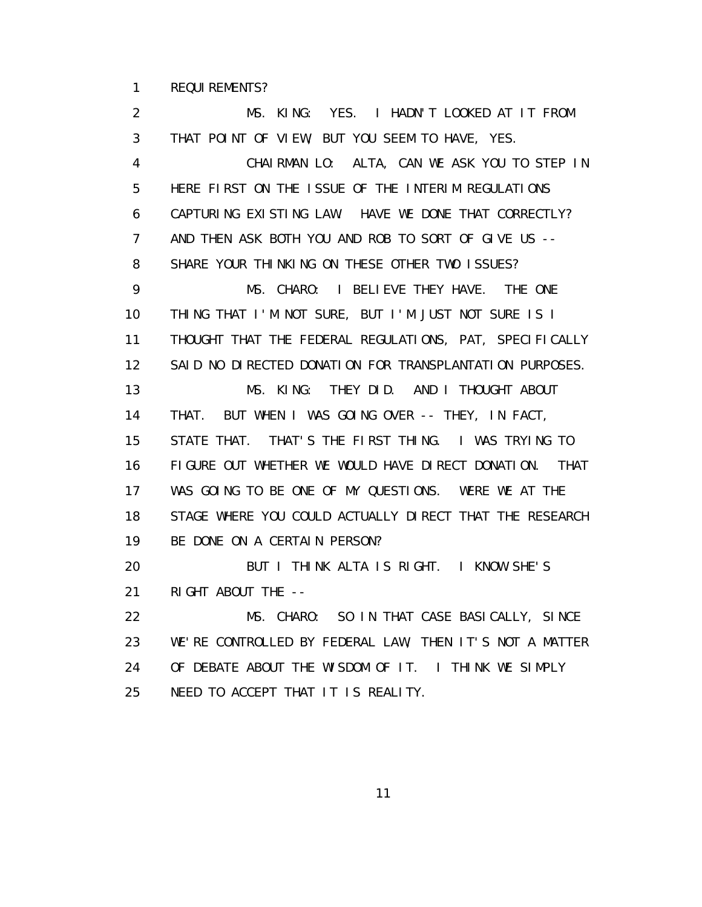1 REQUIREMENTS?

 2 MS. KING: YES. I HADN'T LOOKED AT IT FROM 3 THAT POINT OF VIEW, BUT YOU SEEM TO HAVE, YES. 4 CHAIRMAN LO: ALTA, CAN WE ASK YOU TO STEP IN 5 HERE FIRST ON THE ISSUE OF THE INTERIM REGULATIONS 6 CAPTURING EXISTING LAW. HAVE WE DONE THAT CORRECTLY? 7 AND THEN ASK BOTH YOU AND ROB TO SORT OF GIVE US -- 8 SHARE YOUR THINKING ON THESE OTHER TWO ISSUES? 9 MS. CHARO: I BELIEVE THEY HAVE. THE ONE 10 THING THAT I'M NOT SURE, BUT I'M JUST NOT SURE IS I 11 THOUGHT THAT THE FEDERAL REGULATIONS, PAT, SPECIFICALLY 12 SAID NO DIRECTED DONATION FOR TRANSPLANTATION PURPOSES. 13 MS. KING: THEY DID. AND I THOUGHT ABOUT 14 THAT. BUT WHEN I WAS GOING OVER -- THEY, IN FACT, 15 STATE THAT. THAT'S THE FIRST THING. I WAS TRYING TO 16 FIGURE OUT WHETHER WE WOULD HAVE DIRECT DONATION. THAT 17 WAS GOING TO BE ONE OF MY QUESTIONS. WERE WE AT THE 18 STAGE WHERE YOU COULD ACTUALLY DIRECT THAT THE RESEARCH 19 BE DONE ON A CERTAIN PERSON? 20 BUT I THINK ALTA IS RIGHT. I KNOW SHE'S 21 RIGHT ABOUT THE -- 22 MS. CHARO: SO IN THAT CASE BASICALLY, SINCE 23 WE'RE CONTROLLED BY FEDERAL LAW, THEN IT'S NOT A MATTER 24 OF DEBATE ABOUT THE WISDOM OF IT. I THINK WE SIMPLY 25 NEED TO ACCEPT THAT IT IS REALITY.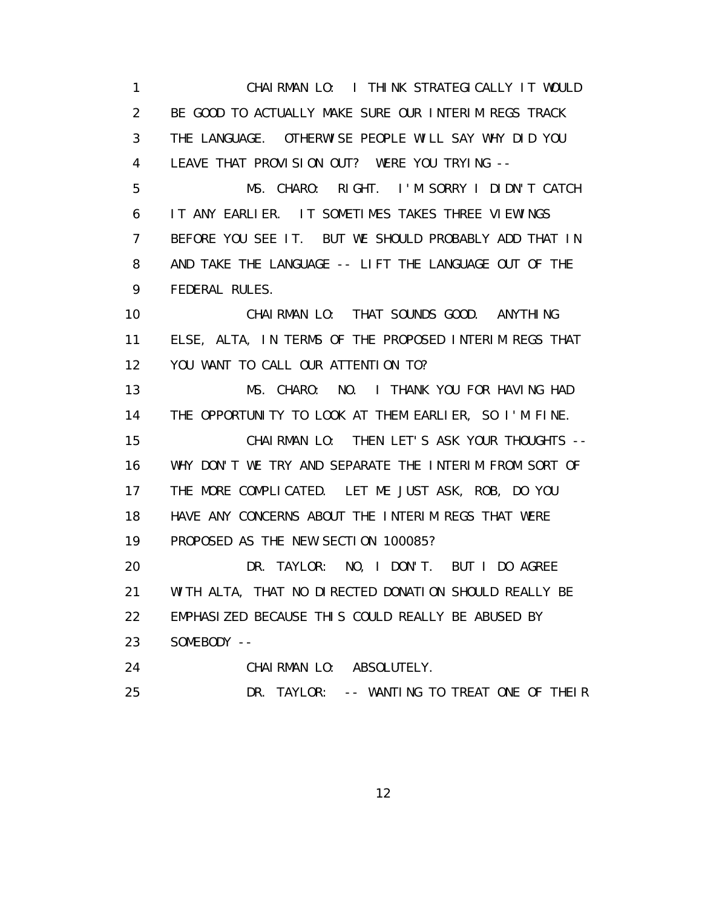1 CHAIRMAN LO: I THINK STRATEGICALLY IT WOULD 2 BE GOOD TO ACTUALLY MAKE SURE OUR INTERIM REGS TRACK 3 THE LANGUAGE. OTHERWISE PEOPLE WILL SAY WHY DID YOU 4 LEAVE THAT PROVISION OUT? WERE YOU TRYING -- 5 MS. CHARO: RIGHT. I'M SORRY I DIDN'T CATCH 6 IT ANY EARLIER. IT SOMETIMES TAKES THREE VIEWINGS 7 BEFORE YOU SEE IT. BUT WE SHOULD PROBABLY ADD THAT IN 8 AND TAKE THE LANGUAGE -- LIFT THE LANGUAGE OUT OF THE 9 FEDERAL RULES. 10 CHAIRMAN LO: THAT SOUNDS GOOD. ANYTHING 11 ELSE, ALTA, IN TERMS OF THE PROPOSED INTERIM REGS THAT 12 YOU WANT TO CALL OUR ATTENTION TO? 13 MS. CHARO: NO. I THANK YOU FOR HAVING HAD 14 THE OPPORTUNITY TO LOOK AT THEM EARLIER, SO I'M FINE. 15 CHAIRMAN LO: THEN LET'S ASK YOUR THOUGHTS -- 16 WHY DON'T WE TRY AND SEPARATE THE INTERIM FROM SORT OF 17 THE MORE COMPLICATED. LET ME JUST ASK, ROB, DO YOU 18 HAVE ANY CONCERNS ABOUT THE INTERIM REGS THAT WERE 19 PROPOSED AS THE NEW SECTION 100085? 20 DR. TAYLOR: NO, I DON'T. BUT I DO AGREE 21 WITH ALTA, THAT NO DIRECTED DONATION SHOULD REALLY BE 22 EMPHASIZED BECAUSE THIS COULD REALLY BE ABUSED BY 23 SOMEBODY -- 24 CHAIRMAN LO: ABSOLUTELY. 25 DR. TAYLOR: -- WANTING TO TREAT ONE OF THEIR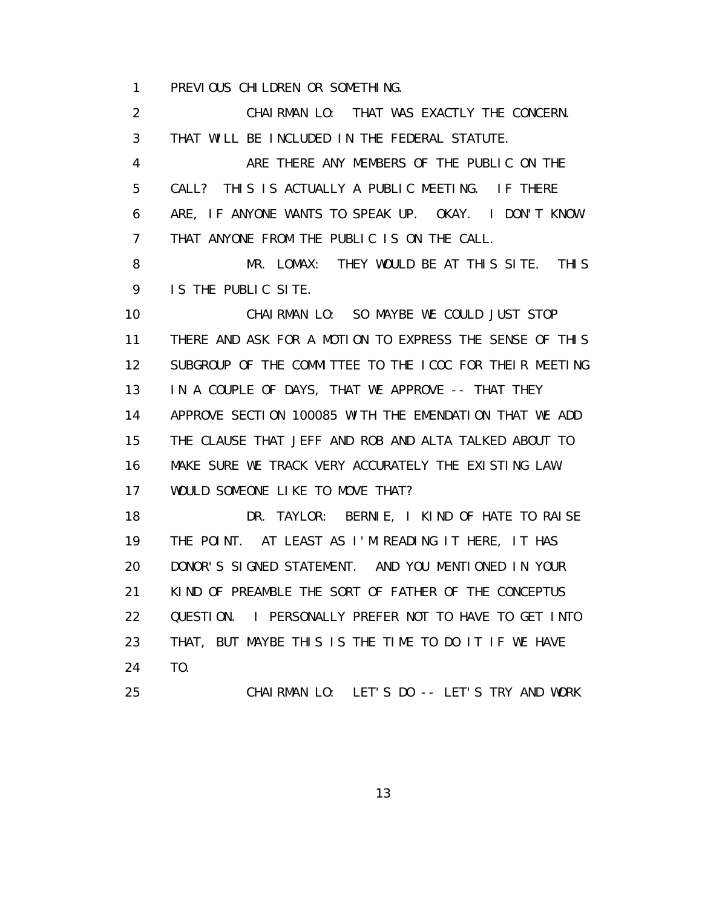1 PREVIOUS CHILDREN OR SOMETHING.

 2 CHAIRMAN LO: THAT WAS EXACTLY THE CONCERN. 3 THAT WILL BE INCLUDED IN THE FEDERAL STATUTE. 4 ARE THERE ANY MEMBERS OF THE PUBLIC ON THE 5 CALL? THIS IS ACTUALLY A PUBLIC MEETING. IF THERE 6 ARE, IF ANYONE WANTS TO SPEAK UP. OKAY. I DON'T KNOW 7 THAT ANYONE FROM THE PUBLIC IS ON THE CALL. 8 MR. LOMAX: THEY WOULD BE AT THIS SITE. THIS 9 IS THE PUBLIC SITE. 10 CHAIRMAN LO: SO MAYBE WE COULD JUST STOP 11 THERE AND ASK FOR A MOTION TO EXPRESS THE SENSE OF THIS 12 SUBGROUP OF THE COMMITTEE TO THE ICOC FOR THEIR MEETING 13 IN A COUPLE OF DAYS, THAT WE APPROVE -- THAT THEY 14 APPROVE SECTION 100085 WITH THE EMENDATION THAT WE ADD 15 THE CLAUSE THAT JEFF AND ROB AND ALTA TALKED ABOUT TO 16 MAKE SURE WE TRACK VERY ACCURATELY THE EXISTING LAW. 17 WOULD SOMEONE LIKE TO MOVE THAT? 18 DR. TAYLOR: BERNIE, I KIND OF HATE TO RAISE 19 THE POINT. AT LEAST AS I'M READING IT HERE, IT HAS 20 DONOR'S SIGNED STATEMENT. AND YOU MENTIONED IN YOUR 21 KIND OF PREAMBLE THE SORT OF FATHER OF THE CONCEPTUS 22 QUESTION. I PERSONALLY PREFER NOT TO HAVE TO GET INTO 23 THAT, BUT MAYBE THIS IS THE TIME TO DO IT IF WE HAVE 24 TO. 25 CHAIRMAN LO: LET'S DO -- LET'S TRY AND WORK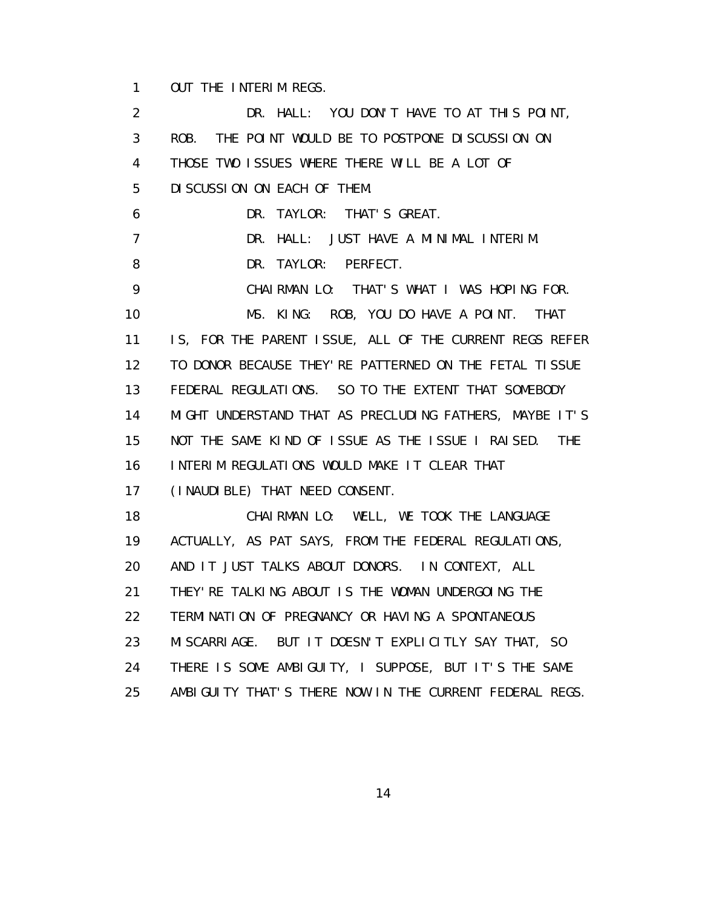1 OUT THE INTERIM REGS.

 2 DR. HALL: YOU DON'T HAVE TO AT THIS POINT, 3 ROB. THE POINT WOULD BE TO POSTPONE DISCUSSION ON 4 THOSE TWO ISSUES WHERE THERE WILL BE A LOT OF 5 DISCUSSION ON EACH OF THEM. 6 DR. TAYLOR: THAT'S GREAT. 7 DR. HALL: JUST HAVE A MINIMAL INTERIM. 8 DR. TAYLOR: PERFECT. 9 CHAIRMAN LO: THAT'S WHAT I WAS HOPING FOR. 10 MS. KING: ROB, YOU DO HAVE A POINT. THAT 11 IS, FOR THE PARENT ISSUE, ALL OF THE CURRENT REGS REFER 12 TO DONOR BECAUSE THEY'RE PATTERNED ON THE FETAL TISSUE 13 FEDERAL REGULATIONS. SO TO THE EXTENT THAT SOMEBODY 14 MIGHT UNDERSTAND THAT AS PRECLUDING FATHERS, MAYBE IT'S 15 NOT THE SAME KIND OF ISSUE AS THE ISSUE I RAISED. THE 16 INTERIM REGULATIONS WOULD MAKE IT CLEAR THAT 17 (INAUDIBLE) THAT NEED CONSENT. 18 CHAIRMAN LO: WELL, WE TOOK THE LANGUAGE 19 ACTUALLY, AS PAT SAYS, FROM THE FEDERAL REGULATIONS, 20 AND IT JUST TALKS ABOUT DONORS. IN CONTEXT, ALL 21 THEY'RE TALKING ABOUT IS THE WOMAN UNDERGOING THE 22 TERMINATION OF PREGNANCY OR HAVING A SPONTANEOUS 23 MISCARRIAGE. BUT IT DOESN'T EXPLICITLY SAY THAT, SO 24 THERE IS SOME AMBIGUITY, I SUPPOSE, BUT IT'S THE SAME 25 AMBIGUITY THAT'S THERE NOW IN THE CURRENT FEDERAL REGS.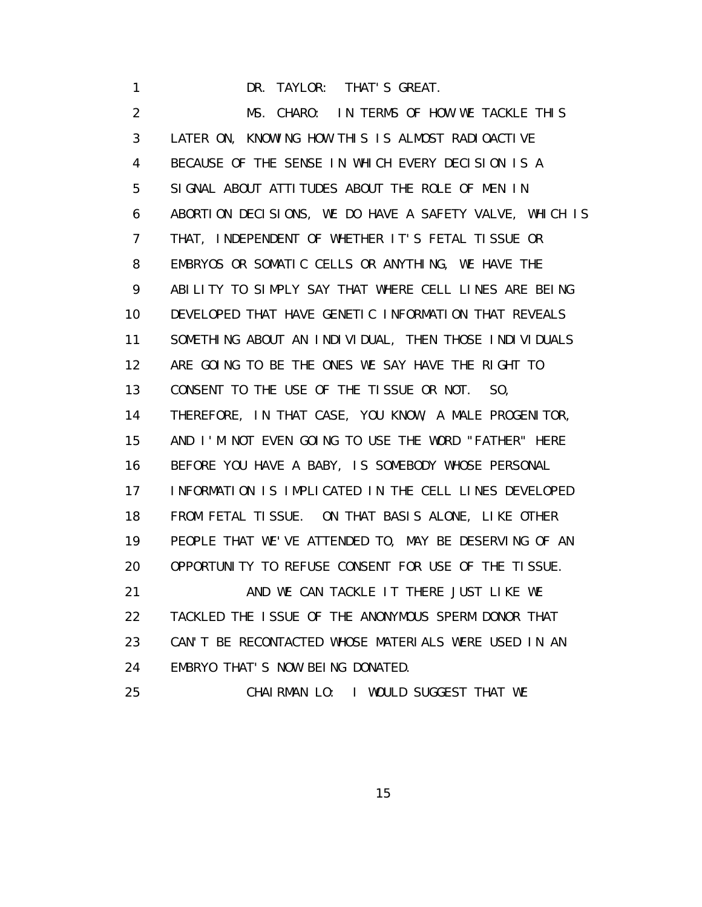1 DR. TAYLOR: THAT'S GREAT.

 2 MS. CHARO: IN TERMS OF HOW WE TACKLE THIS 3 LATER ON, KNOWING HOW THIS IS ALMOST RADIOACTIVE 4 BECAUSE OF THE SENSE IN WHICH EVERY DECISION IS A 5 SIGNAL ABOUT ATTITUDES ABOUT THE ROLE OF MEN IN 6 ABORTION DECISIONS, WE DO HAVE A SAFETY VALVE, WHICH IS 7 THAT, INDEPENDENT OF WHETHER IT'S FETAL TISSUE OR 8 EMBRYOS OR SOMATIC CELLS OR ANYTHING, WE HAVE THE 9 ABILITY TO SIMPLY SAY THAT WHERE CELL LINES ARE BEING 10 DEVELOPED THAT HAVE GENETIC INFORMATION THAT REVEALS 11 SOMETHING ABOUT AN INDIVIDUAL, THEN THOSE INDIVIDUALS 12 ARE GOING TO BE THE ONES WE SAY HAVE THE RIGHT TO 13 CONSENT TO THE USE OF THE TISSUE OR NOT. SO, 14 THEREFORE, IN THAT CASE, YOU KNOW, A MALE PROGENITOR, 15 AND I'M NOT EVEN GOING TO USE THE WORD "FATHER" HERE 16 BEFORE YOU HAVE A BABY, IS SOMEBODY WHOSE PERSONAL 17 INFORMATION IS IMPLICATED IN THE CELL LINES DEVELOPED 18 FROM FETAL TISSUE. ON THAT BASIS ALONE, LIKE OTHER 19 PEOPLE THAT WE'VE ATTENDED TO, MAY BE DESERVING OF AN 20 OPPORTUNITY TO REFUSE CONSENT FOR USE OF THE TISSUE. 21 AND WE CAN TACKLE IT THERE JUST LIKE WE 22 TACKLED THE ISSUE OF THE ANONYMOUS SPERM DONOR THAT 23 CAN'T BE RECONTACTED WHOSE MATERIALS WERE USED IN AN 24 EMBRYO THAT'S NOW BEING DONATED. 25 CHAIRMAN LO: I WOULD SUGGEST THAT WE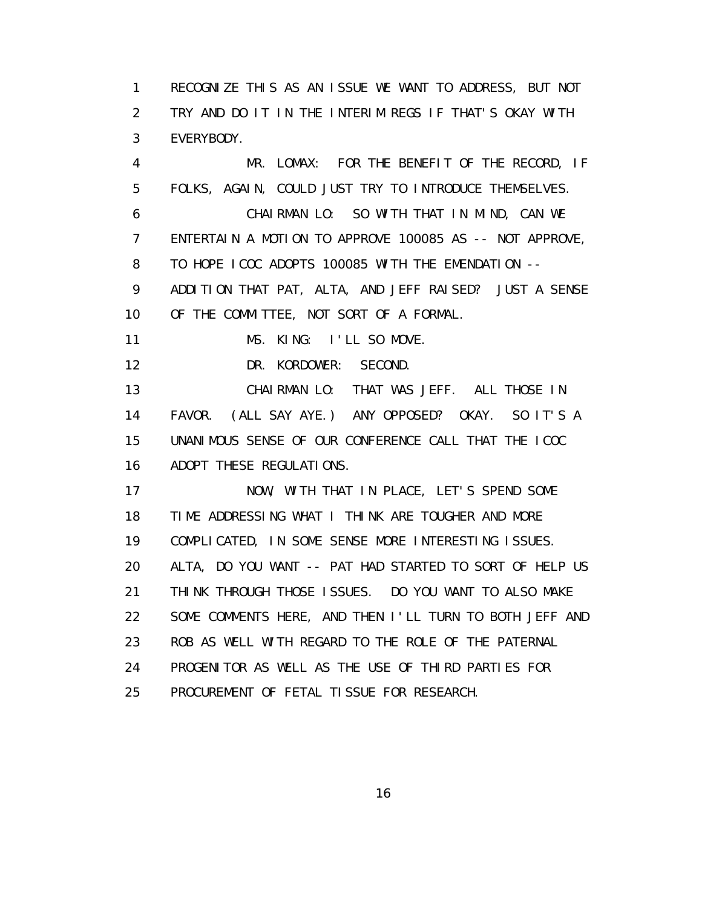1 RECOGNIZE THIS AS AN ISSUE WE WANT TO ADDRESS, BUT NOT 2 TRY AND DO IT IN THE INTERIM REGS IF THAT'S OKAY WITH 3 EVERYBODY.

 4 MR. LOMAX: FOR THE BENEFIT OF THE RECORD, IF 5 FOLKS, AGAIN, COULD JUST TRY TO INTRODUCE THEMSELVES. 6 CHAIRMAN LO: SO WITH THAT IN MIND, CAN WE 7 ENTERTAIN A MOTION TO APPROVE 100085 AS -- NOT APPROVE, 8 TO HOPE ICOC ADOPTS 100085 WITH THE EMENDATION -- 9 ADDITION THAT PAT, ALTA, AND JEFF RAISED? JUST A SENSE 10 OF THE COMMITTEE, NOT SORT OF A FORMAL. 11 MS. KING: I'LL SO MOVE. 12 DR. KORDOWER: SECOND. 13 CHAIRMAN LO: THAT WAS JEFF. ALL THOSE IN 14 FAVOR. (ALL SAY AYE.) ANY OPPOSED? OKAY. SO IT'S A 15 UNANIMOUS SENSE OF OUR CONFERENCE CALL THAT THE ICOC 16 ADOPT THESE REGULATIONS. 17 NOW, WITH THAT IN PLACE, LET'S SPEND SOME 18 TIME ADDRESSING WHAT I THINK ARE TOUGHER AND MORE 19 COMPLICATED, IN SOME SENSE MORE INTERESTING ISSUES. 20 ALTA, DO YOU WANT -- PAT HAD STARTED TO SORT OF HELP US 21 THINK THROUGH THOSE ISSUES. DO YOU WANT TO ALSO MAKE 22 SOME COMMENTS HERE, AND THEN I'LL TURN TO BOTH JEFF AND 23 ROB AS WELL WITH REGARD TO THE ROLE OF THE PATERNAL 24 PROGENITOR AS WELL AS THE USE OF THIRD PARTIES FOR 25 PROCUREMENT OF FETAL TISSUE FOR RESEARCH.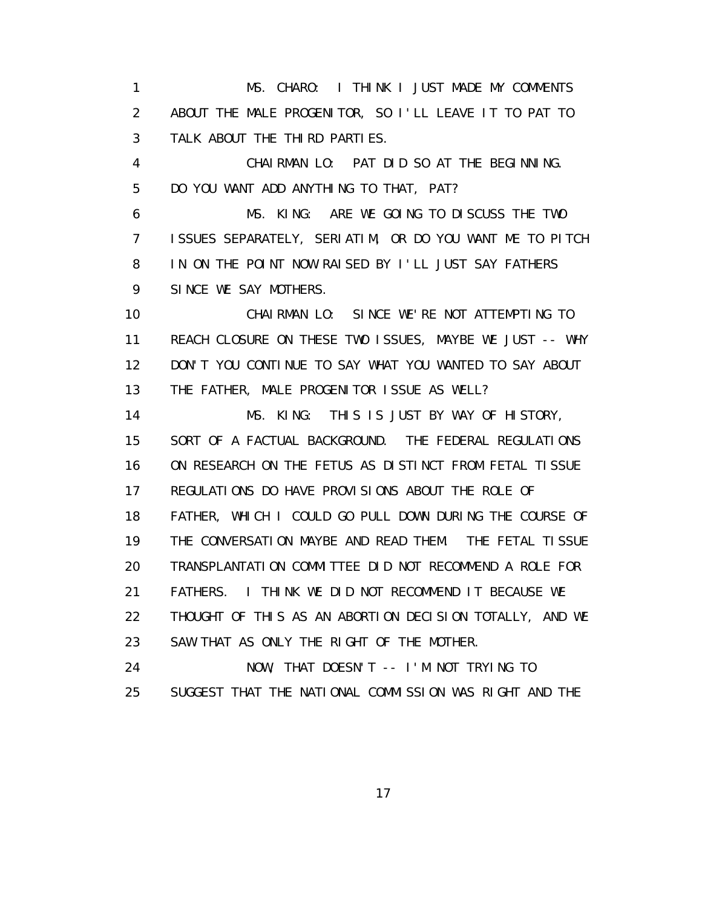1 MS. CHARO: I THINK I JUST MADE MY COMMENTS 2 ABOUT THE MALE PROGENITOR, SO I'LL LEAVE IT TO PAT TO 3 TALK ABOUT THE THIRD PARTIES.

 4 CHAIRMAN LO: PAT DID SO AT THE BEGINNING. 5 DO YOU WANT ADD ANYTHING TO THAT, PAT?

 6 MS. KING: ARE WE GOING TO DISCUSS THE TWO 7 ISSUES SEPARATELY, SERIATIM, OR DO YOU WANT ME TO PITCH 8 IN ON THE POINT NOW RAISED BY I'LL JUST SAY FATHERS 9 SINCE WE SAY MOTHERS.

 10 CHAIRMAN LO: SINCE WE'RE NOT ATTEMPTING TO 11 REACH CLOSURE ON THESE TWO ISSUES, MAYBE WE JUST -- WHY 12 DON'T YOU CONTINUE TO SAY WHAT YOU WANTED TO SAY ABOUT 13 THE FATHER, MALE PROGENITOR ISSUE AS WELL?

 14 MS. KING: THIS IS JUST BY WAY OF HISTORY, 15 SORT OF A FACTUAL BACKGROUND. THE FEDERAL REGULATIONS 16 ON RESEARCH ON THE FETUS AS DISTINCT FROM FETAL TISSUE 17 REGULATIONS DO HAVE PROVISIONS ABOUT THE ROLE OF 18 FATHER, WHICH I COULD GO PULL DOWN DURING THE COURSE OF 19 THE CONVERSATION MAYBE AND READ THEM. THE FETAL TISSUE 20 TRANSPLANTATION COMMITTEE DID NOT RECOMMEND A ROLE FOR 21 FATHERS. I THINK WE DID NOT RECOMMEND IT BECAUSE WE 22 THOUGHT OF THIS AS AN ABORTION DECISION TOTALLY, AND WE 23 SAW THAT AS ONLY THE RIGHT OF THE MOTHER.

 24 NOW, THAT DOESN'T -- I'M NOT TRYING TO 25 SUGGEST THAT THE NATIONAL COMMISSION WAS RIGHT AND THE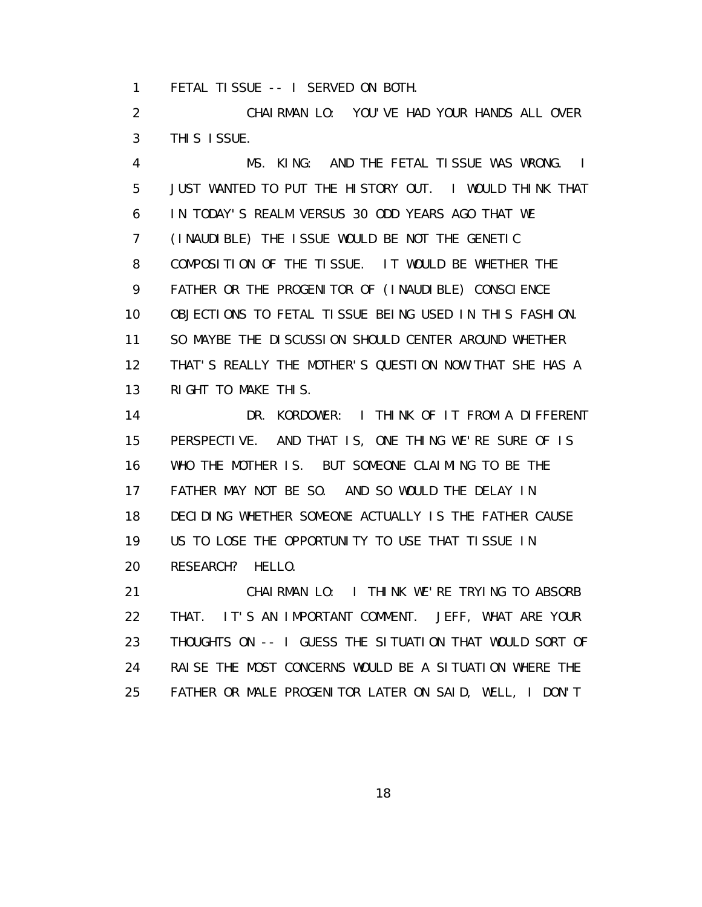1 FETAL TISSUE -- I SERVED ON BOTH.

 2 CHAIRMAN LO: YOU'VE HAD YOUR HANDS ALL OVER 3 THIS ISSUE.

 4 MS. KING: AND THE FETAL TISSUE WAS WRONG. I 5 JUST WANTED TO PUT THE HISTORY OUT. I WOULD THINK THAT 6 IN TODAY'S REALM VERSUS 30 ODD YEARS AGO THAT WE 7 (INAUDIBLE) THE ISSUE WOULD BE NOT THE GENETIC 8 COMPOSITION OF THE TISSUE. IT WOULD BE WHETHER THE 9 FATHER OR THE PROGENITOR OF (INAUDIBLE) CONSCIENCE 10 OBJECTIONS TO FETAL TISSUE BEING USED IN THIS FASHION. 11 SO MAYBE THE DISCUSSION SHOULD CENTER AROUND WHETHER 12 THAT'S REALLY THE MOTHER'S QUESTION NOW THAT SHE HAS A 13 RIGHT TO MAKE THIS.

 14 DR. KORDOWER: I THINK OF IT FROM A DIFFERENT 15 PERSPECTIVE. AND THAT IS, ONE THING WE'RE SURE OF IS 16 WHO THE MOTHER IS. BUT SOMEONE CLAIMING TO BE THE 17 FATHER MAY NOT BE SO. AND SO WOULD THE DELAY IN 18 DECIDING WHETHER SOMEONE ACTUALLY IS THE FATHER CAUSE 19 US TO LOSE THE OPPORTUNITY TO USE THAT TISSUE IN 20 RESEARCH? HELLO.

 21 CHAIRMAN LO: I THINK WE'RE TRYING TO ABSORB 22 THAT. IT'S AN IMPORTANT COMMENT. JEFF, WHAT ARE YOUR 23 THOUGHTS ON -- I GUESS THE SITUATION THAT WOULD SORT OF 24 RAISE THE MOST CONCERNS WOULD BE A SITUATION WHERE THE 25 FATHER OR MALE PROGENITOR LATER ON SAID, WELL, I DON'T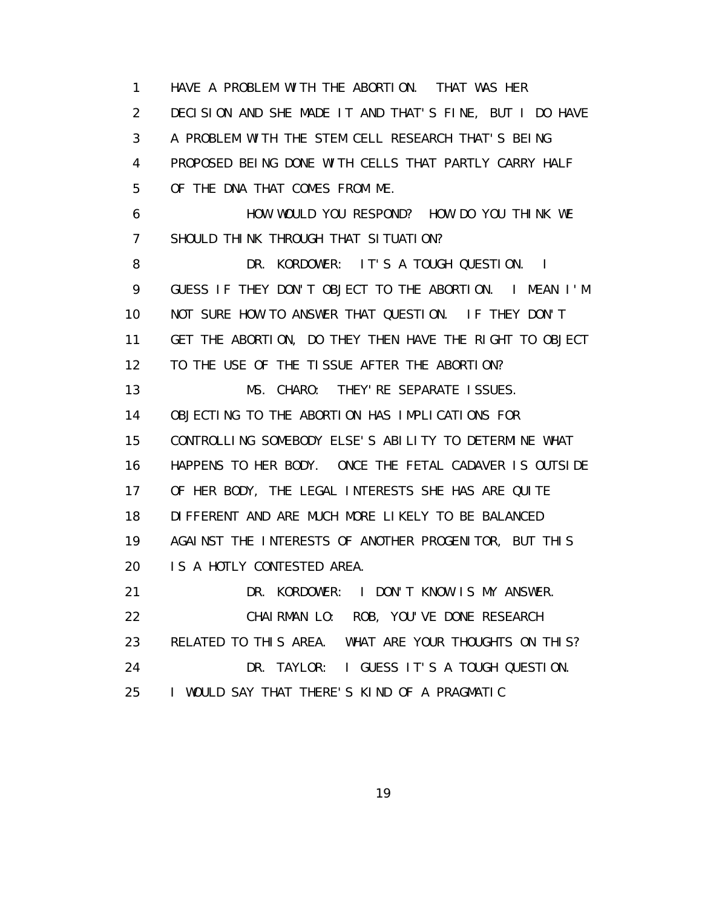1 HAVE A PROBLEM WITH THE ABORTION. THAT WAS HER 2 DECISION AND SHE MADE IT AND THAT'S FINE, BUT I DO HAVE 3 A PROBLEM WITH THE STEM CELL RESEARCH THAT'S BEING 4 PROPOSED BEING DONE WITH CELLS THAT PARTLY CARRY HALF 5 OF THE DNA THAT COMES FROM ME. 6 HOW WOULD YOU RESPOND? HOW DO YOU THINK WE 7 SHOULD THINK THROUGH THAT SITUATION? 8 DR. KORDOWER: IT'S A TOUGH QUESTION. I 9 GUESS IF THEY DON'T OBJECT TO THE ABORTION. I MEAN I'M 10 NOT SURE HOW TO ANSWER THAT QUESTION. IF THEY DON'T 11 GET THE ABORTION, DO THEY THEN HAVE THE RIGHT TO OBJECT 12 TO THE USE OF THE TISSUE AFTER THE ABORTION? 13 MS. CHARO: THEY'RE SEPARATE ISSUES. 14 OBJECTING TO THE ABORTION HAS IMPLICATIONS FOR 15 CONTROLLING SOMEBODY ELSE'S ABILITY TO DETERMINE WHAT 16 HAPPENS TO HER BODY. ONCE THE FETAL CADAVER IS OUTSIDE 17 OF HER BODY, THE LEGAL INTERESTS SHE HAS ARE QUITE 18 DIFFERENT AND ARE MUCH MORE LIKELY TO BE BALANCED 19 AGAINST THE INTERESTS OF ANOTHER PROGENITOR, BUT THIS 20 IS A HOTLY CONTESTED AREA. 21 DR. KORDOWER: I DON'T KNOW IS MY ANSWER. 22 CHAIRMAN LO: ROB, YOU'VE DONE RESEARCH 23 RELATED TO THIS AREA. WHAT ARE YOUR THOUGHTS ON THIS? 24 DR. TAYLOR: I GUESS IT'S A TOUGH QUESTION. 25 I WOULD SAY THAT THERE'S KIND OF A PRAGMATIC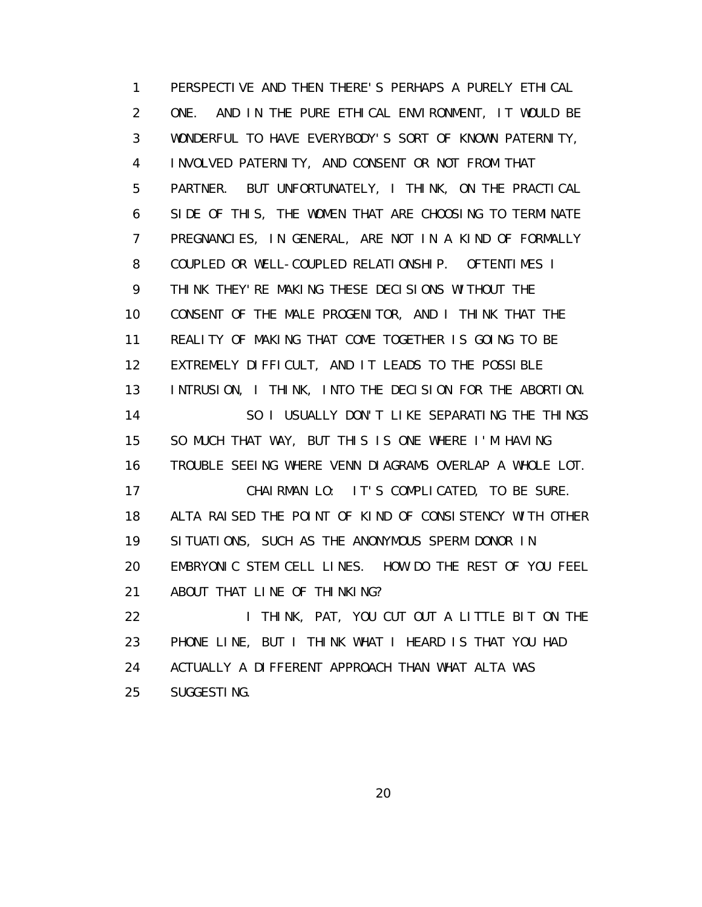1 PERSPECTIVE AND THEN THERE'S PERHAPS A PURELY ETHICAL 2 ONE. AND IN THE PURE ETHICAL ENVIRONMENT, IT WOULD BE 3 WONDERFUL TO HAVE EVERYBODY'S SORT OF KNOWN PATERNITY, 4 INVOLVED PATERNITY, AND CONSENT OR NOT FROM THAT 5 PARTNER. BUT UNFORTUNATELY, I THINK, ON THE PRACTICAL 6 SIDE OF THIS, THE WOMEN THAT ARE CHOOSING TO TERMINATE 7 PREGNANCIES, IN GENERAL, ARE NOT IN A KIND OF FORMALLY 8 COUPLED OR WELL-COUPLED RELATIONSHIP. OFTENTIMES I 9 THINK THEY'RE MAKING THESE DECISIONS WITHOUT THE 10 CONSENT OF THE MALE PROGENITOR, AND I THINK THAT THE 11 REALITY OF MAKING THAT COME TOGETHER IS GOING TO BE 12 EXTREMELY DIFFICULT, AND IT LEADS TO THE POSSIBLE 13 INTRUSION, I THINK, INTO THE DECISION FOR THE ABORTION. 14 SO I USUALLY DON'T LIKE SEPARATING THE THINGS 15 SO MUCH THAT WAY, BUT THIS IS ONE WHERE I'M HAVING 16 TROUBLE SEEING WHERE VENN DIAGRAMS OVERLAP A WHOLE LOT. 17 CHAIRMAN LO: IT'S COMPLICATED, TO BE SURE. 18 ALTA RAISED THE POINT OF KIND OF CONSISTENCY WITH OTHER 19 SITUATIONS, SUCH AS THE ANONYMOUS SPERM DONOR IN 20 EMBRYONIC STEM CELL LINES. HOW DO THE REST OF YOU FEEL 21 ABOUT THAT LINE OF THINKING? 22 I THINK, PAT, YOU CUT OUT A LITTLE BIT ON THE 23 PHONE LINE, BUT I THINK WHAT I HEARD IS THAT YOU HAD 24 ACTUALLY A DIFFERENT APPROACH THAN WHAT ALTA WAS 25 SUGGESTING.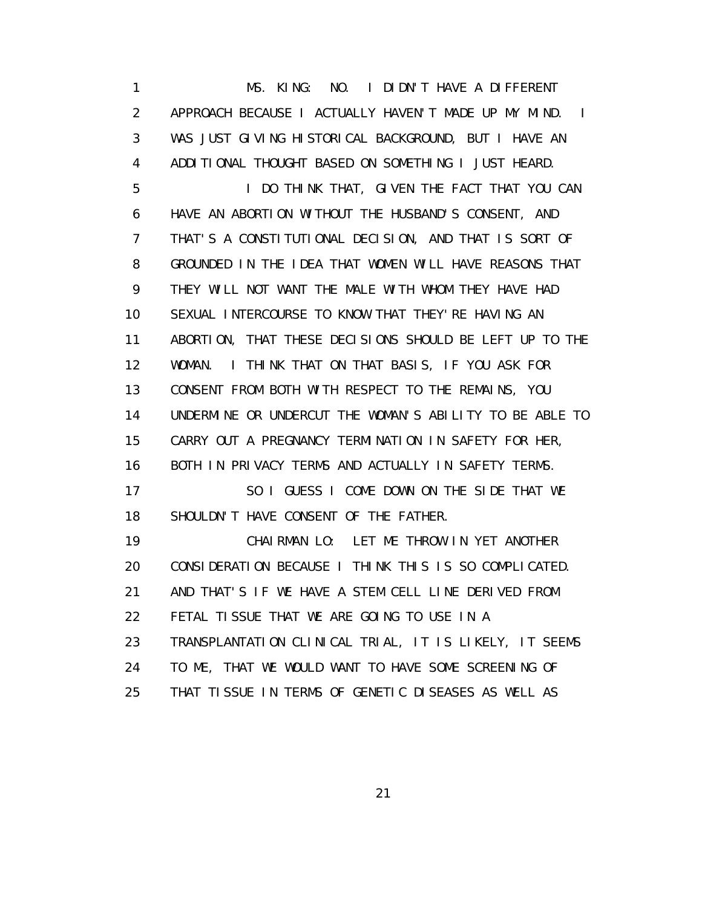1 MS. KING: NO. I DIDN'T HAVE A DIFFERENT 2 APPROACH BECAUSE I ACTUALLY HAVEN'T MADE UP MY MIND. I 3 WAS JUST GIVING HISTORICAL BACKGROUND, BUT I HAVE AN 4 ADDITIONAL THOUGHT BASED ON SOMETHING I JUST HEARD. 5 I DO THINK THAT, GIVEN THE FACT THAT YOU CAN 6 HAVE AN ABORTION WITHOUT THE HUSBAND'S CONSENT, AND 7 THAT'S A CONSTITUTIONAL DECISION, AND THAT IS SORT OF 8 GROUNDED IN THE IDEA THAT WOMEN WILL HAVE REASONS THAT 9 THEY WILL NOT WANT THE MALE WITH WHOM THEY HAVE HAD 10 SEXUAL INTERCOURSE TO KNOW THAT THEY'RE HAVING AN 11 ABORTION, THAT THESE DECISIONS SHOULD BE LEFT UP TO THE 12 WOMAN. I THINK THAT ON THAT BASIS, IF YOU ASK FOR 13 CONSENT FROM BOTH WITH RESPECT TO THE REMAINS, YOU 14 UNDERMINE OR UNDERCUT THE WOMAN'S ABILITY TO BE ABLE TO 15 CARRY OUT A PREGNANCY TERMINATION IN SAFETY FOR HER, 16 BOTH IN PRIVACY TERMS AND ACTUALLY IN SAFETY TERMS. 17 SO I GUESS I COME DOWN ON THE SIDE THAT WE 18 SHOULDN'T HAVE CONSENT OF THE FATHER. 19 CHAIRMAN LO: LET ME THROW IN YET ANOTHER 20 CONSIDERATION BECAUSE I THINK THIS IS SO COMPLICATED. 21 AND THAT'S IF WE HAVE A STEM CELL LINE DERIVED FROM 22 FETAL TISSUE THAT WE ARE GOING TO USE IN A 23 TRANSPLANTATION CLINICAL TRIAL, IT IS LIKELY, IT SEEMS 24 TO ME, THAT WE WOULD WANT TO HAVE SOME SCREENING OF 25 THAT TISSUE IN TERMS OF GENETIC DISEASES AS WELL AS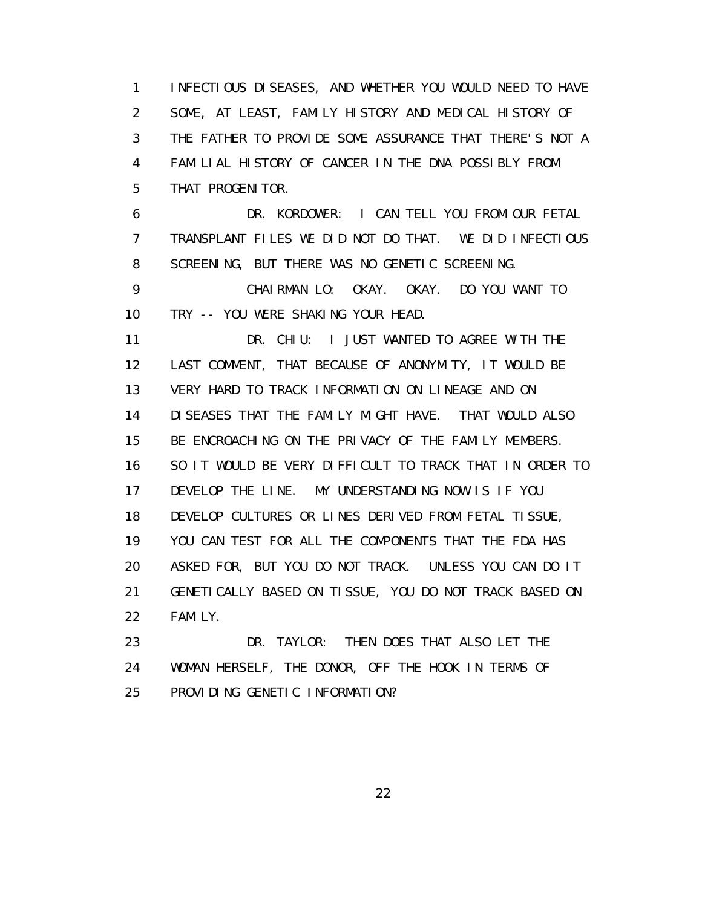1 INFECTIOUS DISEASES, AND WHETHER YOU WOULD NEED TO HAVE 2 SOME, AT LEAST, FAMILY HISTORY AND MEDICAL HISTORY OF 3 THE FATHER TO PROVIDE SOME ASSURANCE THAT THERE'S NOT A 4 FAMILIAL HISTORY OF CANCER IN THE DNA POSSIBLY FROM 5 THAT PROGENITOR.

 6 DR. KORDOWER: I CAN TELL YOU FROM OUR FETAL 7 TRANSPLANT FILES WE DID NOT DO THAT. WE DID INFECTIOUS 8 SCREENING, BUT THERE WAS NO GENETIC SCREENING.

 9 CHAIRMAN LO: OKAY. OKAY. DO YOU WANT TO 10 TRY -- YOU WERE SHAKING YOUR HEAD.

11 DR. CHIU: I JUST WANTED TO AGREE WITH THE 12 LAST COMMENT, THAT BECAUSE OF ANONYMITY, IT WOULD BE 13 VERY HARD TO TRACK INFORMATION ON LINEAGE AND ON 14 DISEASES THAT THE FAMILY MIGHT HAVE. THAT WOULD ALSO 15 BE ENCROACHING ON THE PRIVACY OF THE FAMILY MEMBERS. 16 SO IT WOULD BE VERY DIFFICULT TO TRACK THAT IN ORDER TO 17 DEVELOP THE LINE. MY UNDERSTANDING NOW IS IF YOU 18 DEVELOP CULTURES OR LINES DERIVED FROM FETAL TISSUE, 19 YOU CAN TEST FOR ALL THE COMPONENTS THAT THE FDA HAS 20 ASKED FOR, BUT YOU DO NOT TRACK. UNLESS YOU CAN DO IT 21 GENETICALLY BASED ON TISSUE, YOU DO NOT TRACK BASED ON 22 FAMILY.

 23 DR. TAYLOR: THEN DOES THAT ALSO LET THE 24 WOMAN HERSELF, THE DONOR, OFF THE HOOK IN TERMS OF 25 PROVIDING GENETIC INFORMATION?

<u>22</u>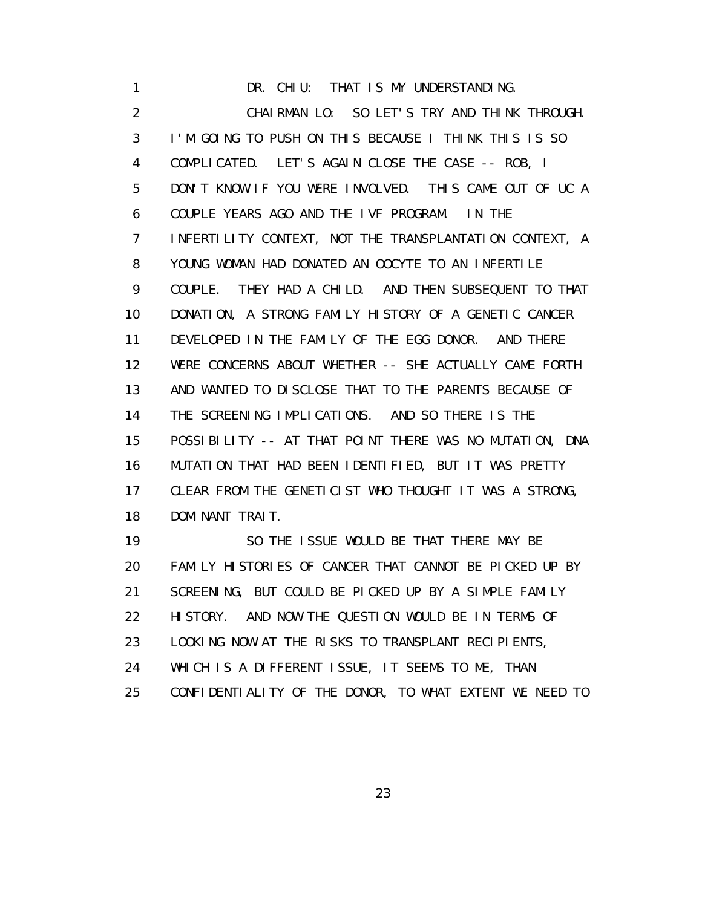1 DR. CHIU: THAT IS MY UNDERSTANDING. 2 CHAIRMAN LO: SO LET'S TRY AND THINK THROUGH. 3 I'M GOING TO PUSH ON THIS BECAUSE I THINK THIS IS SO 4 COMPLICATED. LET'S AGAIN CLOSE THE CASE -- ROB, I 5 DON'T KNOW IF YOU WERE INVOLVED. THIS CAME OUT OF UC A 6 COUPLE YEARS AGO AND THE IVF PROGRAM. IN THE 7 INFERTILITY CONTEXT, NOT THE TRANSPLANTATION CONTEXT, A 8 YOUNG WOMAN HAD DONATED AN OOCYTE TO AN INFERTILE 9 COUPLE. THEY HAD A CHILD. AND THEN SUBSEQUENT TO THAT 10 DONATION, A STRONG FAMILY HISTORY OF A GENETIC CANCER 11 DEVELOPED IN THE FAMILY OF THE EGG DONOR. AND THERE 12 WERE CONCERNS ABOUT WHETHER -- SHE ACTUALLY CAME FORTH 13 AND WANTED TO DISCLOSE THAT TO THE PARENTS BECAUSE OF 14 THE SCREENING IMPLICATIONS. AND SO THERE IS THE 15 POSSIBILITY -- AT THAT POINT THERE WAS NO MUTATION, DNA 16 MUTATION THAT HAD BEEN IDENTIFIED, BUT IT WAS PRETTY 17 CLEAR FROM THE GENETICIST WHO THOUGHT IT WAS A STRONG, 18 DOMINANT TRAIT. 19 SO THE ISSUE WOULD BE THAT THERE MAY BE

 20 FAMILY HISTORIES OF CANCER THAT CANNOT BE PICKED UP BY 21 SCREENING, BUT COULD BE PICKED UP BY A SIMPLE FAMILY 22 HISTORY. AND NOW THE QUESTION WOULD BE IN TERMS OF 23 LOOKING NOW AT THE RISKS TO TRANSPLANT RECIPIENTS, 24 WHICH IS A DIFFERENT ISSUE, IT SEEMS TO ME, THAN 25 CONFIDENTIALITY OF THE DONOR, TO WHAT EXTENT WE NEED TO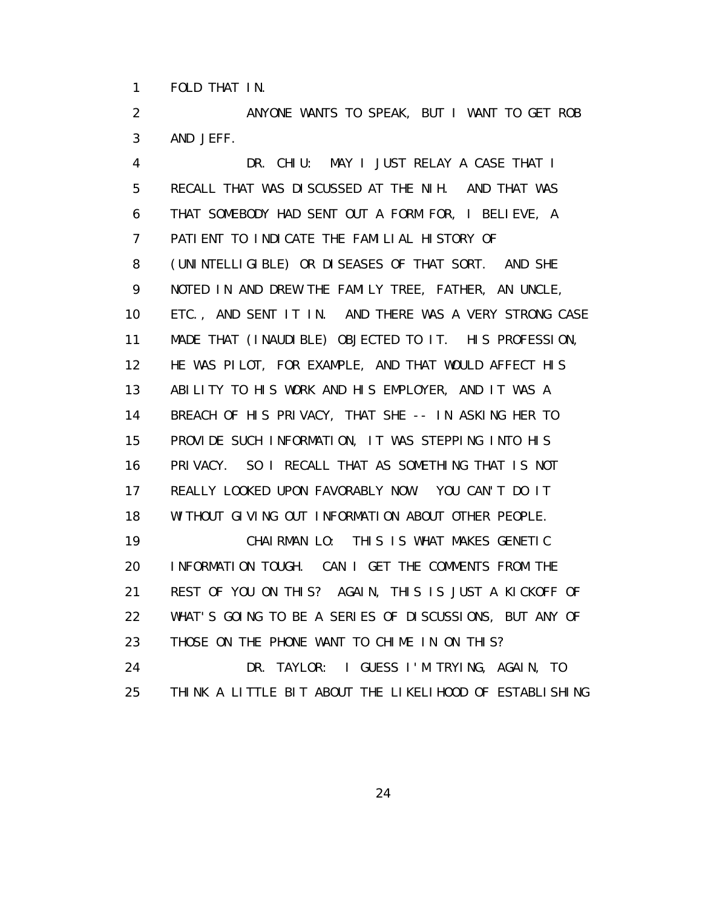1 FOLD THAT IN.

 2 ANYONE WANTS TO SPEAK, BUT I WANT TO GET ROB 3 AND JEFF.

 4 DR. CHIU: MAY I JUST RELAY A CASE THAT I 5 RECALL THAT WAS DISCUSSED AT THE NIH. AND THAT WAS 6 THAT SOMEBODY HAD SENT OUT A FORM FOR, I BELIEVE, A 7 PATIENT TO INDICATE THE FAMILIAL HISTORY OF 8 (UNINTELLIGIBLE) OR DISEASES OF THAT SORT. AND SHE 9 NOTED IN AND DREW THE FAMILY TREE, FATHER, AN UNCLE, 10 ETC., AND SENT IT IN. AND THERE WAS A VERY STRONG CASE 11 MADE THAT (INAUDIBLE) OBJECTED TO IT. HIS PROFESSION, 12 HE WAS PILOT, FOR EXAMPLE, AND THAT WOULD AFFECT HIS 13 ABILITY TO HIS WORK AND HIS EMPLOYER, AND IT WAS A 14 BREACH OF HIS PRIVACY, THAT SHE -- IN ASKING HER TO 15 PROVIDE SUCH INFORMATION, IT WAS STEPPING INTO HIS 16 PRIVACY. SO I RECALL THAT AS SOMETHING THAT IS NOT 17 REALLY LOOKED UPON FAVORABLY NOW. YOU CAN'T DO IT 18 WITHOUT GIVING OUT INFORMATION ABOUT OTHER PEOPLE. 19 CHAIRMAN LO: THIS IS WHAT MAKES GENETIC 20 INFORMATION TOUGH. CAN I GET THE COMMENTS FROM THE 21 REST OF YOU ON THIS? AGAIN, THIS IS JUST A KICKOFF OF 22 WHAT'S GOING TO BE A SERIES OF DISCUSSIONS, BUT ANY OF 23 THOSE ON THE PHONE WANT TO CHIME IN ON THIS? 24 DR. TAYLOR: I GUESS I'M TRYING, AGAIN, TO 25 THINK A LITTLE BIT ABOUT THE LIKELIHOOD OF ESTABLISHING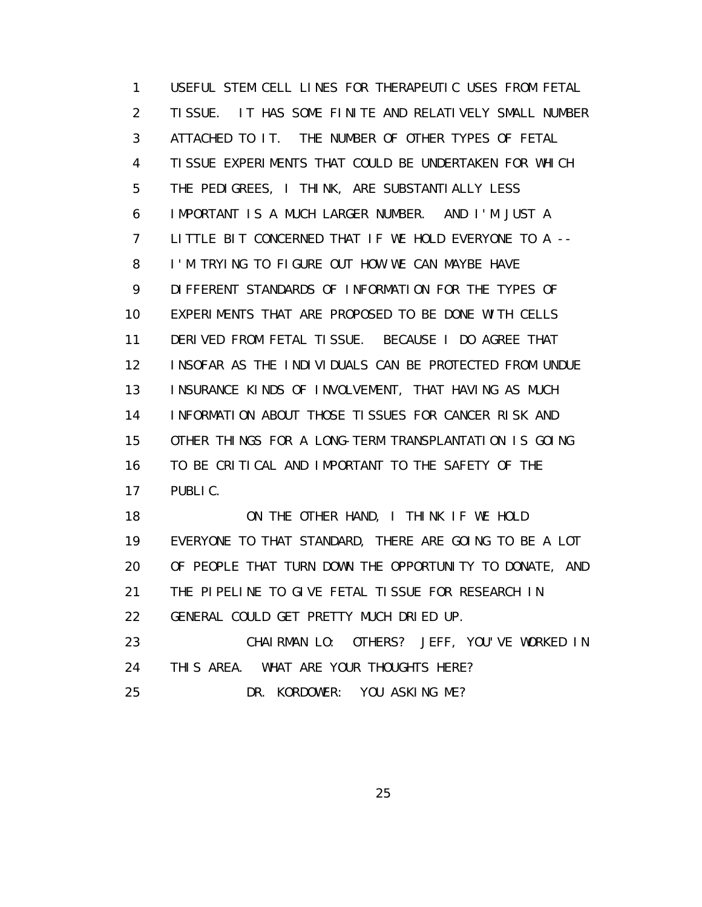1 USEFUL STEM CELL LINES FOR THERAPEUTIC USES FROM FETAL 2 TISSUE. IT HAS SOME FINITE AND RELATIVELY SMALL NUMBER 3 ATTACHED TO IT. THE NUMBER OF OTHER TYPES OF FETAL 4 TISSUE EXPERIMENTS THAT COULD BE UNDERTAKEN FOR WHICH 5 THE PEDIGREES, I THINK, ARE SUBSTANTIALLY LESS 6 IMPORTANT IS A MUCH LARGER NUMBER. AND I'M JUST A 7 LITTLE BIT CONCERNED THAT IF WE HOLD EVERYONE TO A -- 8 I'M TRYING TO FIGURE OUT HOW WE CAN MAYBE HAVE 9 DIFFERENT STANDARDS OF INFORMATION FOR THE TYPES OF 10 EXPERIMENTS THAT ARE PROPOSED TO BE DONE WITH CELLS 11 DERIVED FROM FETAL TISSUE. BECAUSE I DO AGREE THAT 12 INSOFAR AS THE INDIVIDUALS CAN BE PROTECTED FROM UNDUE 13 INSURANCE KINDS OF INVOLVEMENT, THAT HAVING AS MUCH 14 INFORMATION ABOUT THOSE TISSUES FOR CANCER RISK AND 15 OTHER THINGS FOR A LONG-TERM TRANSPLANTATION IS GOING 16 TO BE CRITICAL AND IMPORTANT TO THE SAFETY OF THE 17 PUBLIC.

 18 ON THE OTHER HAND, I THINK IF WE HOLD 19 EVERYONE TO THAT STANDARD, THERE ARE GOING TO BE A LOT 20 OF PEOPLE THAT TURN DOWN THE OPPORTUNITY TO DONATE, AND 21 THE PIPELINE TO GIVE FETAL TISSUE FOR RESEARCH IN 22 GENERAL COULD GET PRETTY MUCH DRIED UP. 23 CHAIRMAN LO: OTHERS? JEFF, YOU'VE WORKED IN

24 THIS AREA. WHAT ARE YOUR THOUGHTS HERE?

25 DR. KORDOWER: YOU ASKING ME?

<u>25 and 25 and 26 and 26 and 26 and 26 and 26 and 26 and 26 and 26 and 26 and 26 and 26 and 26 and 26 and 26 and 26 and 26 and 26 and 26 and 26 and 26 and 26 and 26 and 27 and 27 and 27 and 27 and 27 and 27 and 27 and 27 a</u>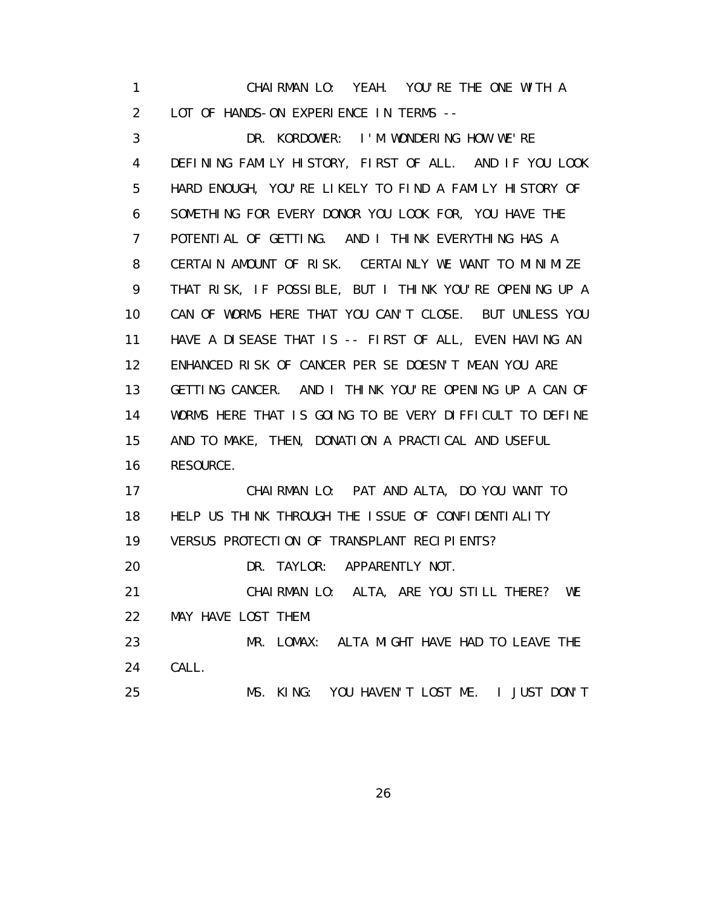1 CHAIRMAN LO: YEAH. YOU'RE THE ONE WITH A 2 LOT OF HANDS-ON EXPERIENCE IN TERMS --

 3 DR. KORDOWER: I'M WONDERING HOW WE'RE 4 DEFINING FAMILY HISTORY, FIRST OF ALL. AND IF YOU LOOK 5 HARD ENOUGH, YOU'RE LIKELY TO FIND A FAMILY HISTORY OF 6 SOMETHING FOR EVERY DONOR YOU LOOK FOR, YOU HAVE THE 7 POTENTIAL OF GETTING. AND I THINK EVERYTHING HAS A 8 CERTAIN AMOUNT OF RISK. CERTAINLY WE WANT TO MINIMIZE 9 THAT RISK, IF POSSIBLE, BUT I THINK YOU'RE OPENING UP A 10 CAN OF WORMS HERE THAT YOU CAN'T CLOSE. BUT UNLESS YOU 11 HAVE A DISEASE THAT IS -- FIRST OF ALL, EVEN HAVING AN 12 ENHANCED RISK OF CANCER PER SE DOESN'T MEAN YOU ARE 13 GETTING CANCER. AND I THINK YOU'RE OPENING UP A CAN OF 14 WORMS HERE THAT IS GOING TO BE VERY DIFFICULT TO DEFINE 15 AND TO MAKE, THEN, DONATION A PRACTICAL AND USEFUL 16 RESOURCE. 17 CHAIRMAN LO: PAT AND ALTA, DO YOU WANT TO 18 HELP US THINK THROUGH THE ISSUE OF CONFIDENTIALITY 19 VERSUS PROTECTION OF TRANSPLANT RECIPIENTS? 20 DR. TAYLOR: APPARENTLY NOT. 21 CHAIRMAN LO: ALTA, ARE YOU STILL THERE? WE 22 MAY HAVE LOST THEM. 23 MR. LOMAX: ALTA MIGHT HAVE HAD TO LEAVE THE

24 CALL.

25 MS. KING: YOU HAVEN'T LOST ME. I JUST DON'T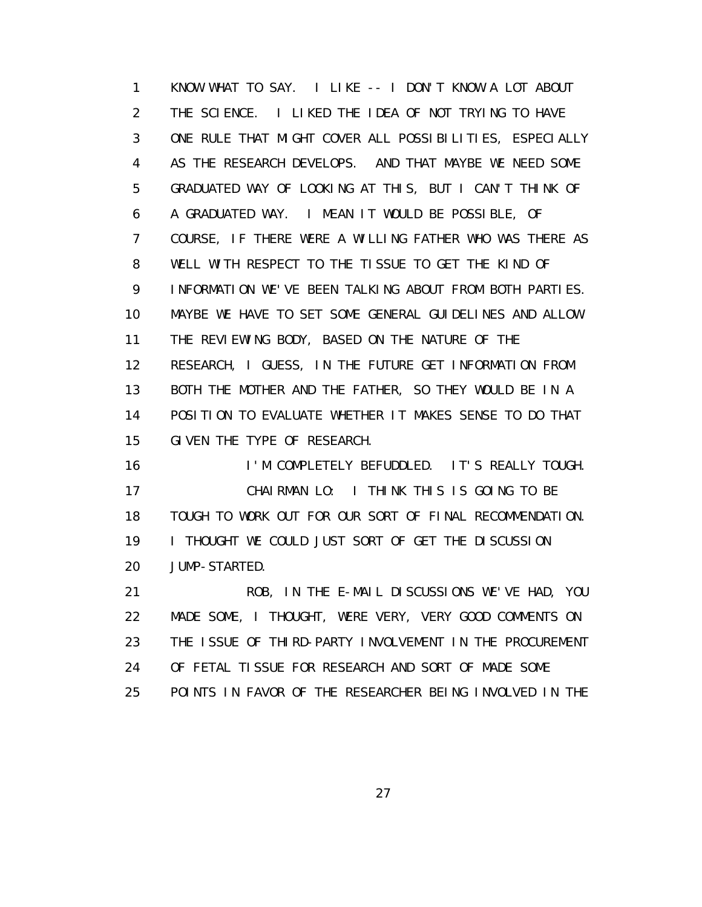1 KNOW WHAT TO SAY. I LIKE -- I DON'T KNOW A LOT ABOUT 2 THE SCIENCE. I LIKED THE IDEA OF NOT TRYING TO HAVE 3 ONE RULE THAT MIGHT COVER ALL POSSIBILITIES, ESPECIALLY 4 AS THE RESEARCH DEVELOPS. AND THAT MAYBE WE NEED SOME 5 GRADUATED WAY OF LOOKING AT THIS, BUT I CAN'T THINK OF 6 A GRADUATED WAY. I MEAN IT WOULD BE POSSIBLE, OF 7 COURSE, IF THERE WERE A WILLING FATHER WHO WAS THERE AS 8 WELL WITH RESPECT TO THE TISSUE TO GET THE KIND OF 9 INFORMATION WE'VE BEEN TALKING ABOUT FROM BOTH PARTIES. 10 MAYBE WE HAVE TO SET SOME GENERAL GUIDELINES AND ALLOW 11 THE REVIEWING BODY, BASED ON THE NATURE OF THE 12 RESEARCH, I GUESS, IN THE FUTURE GET INFORMATION FROM 13 BOTH THE MOTHER AND THE FATHER, SO THEY WOULD BE IN A 14 POSITION TO EVALUATE WHETHER IT MAKES SENSE TO DO THAT 15 GIVEN THE TYPE OF RESEARCH.

 16 I'M COMPLETELY BEFUDDLED. IT'S REALLY TOUGH. 17 CHAIRMAN LO: I THINK THIS IS GOING TO BE 18 TOUGH TO WORK OUT FOR OUR SORT OF FINAL RECOMMENDATION. 19 I THOUGHT WE COULD JUST SORT OF GET THE DISCUSSION 20 JUMP-STARTED.

 21 ROB, IN THE E-MAIL DISCUSSIONS WE'VE HAD, YOU 22 MADE SOME, I THOUGHT, WERE VERY, VERY GOOD COMMENTS ON 23 THE ISSUE OF THIRD-PARTY INVOLVEMENT IN THE PROCUREMENT 24 OF FETAL TISSUE FOR RESEARCH AND SORT OF MADE SOME 25 POINTS IN FAVOR OF THE RESEARCHER BEING INVOLVED IN THE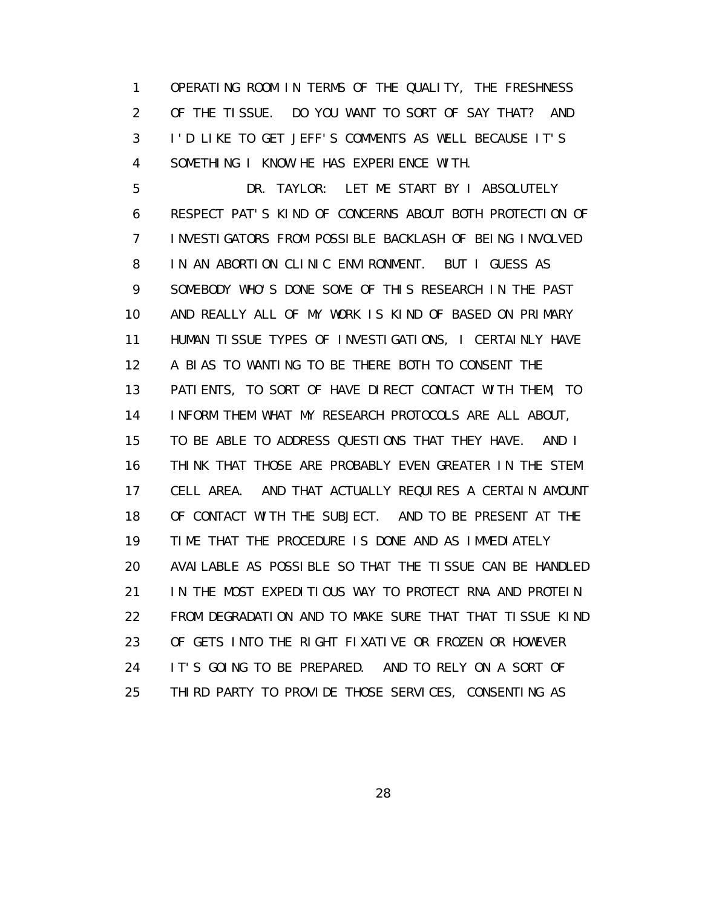1 OPERATING ROOM IN TERMS OF THE QUALITY, THE FRESHNESS 2 OF THE TISSUE. DO YOU WANT TO SORT OF SAY THAT? AND 3 I'D LIKE TO GET JEFF'S COMMENTS AS WELL BECAUSE IT'S 4 SOMETHING I KNOW HE HAS EXPERIENCE WITH.

 5 DR. TAYLOR: LET ME START BY I ABSOLUTELY 6 RESPECT PAT'S KIND OF CONCERNS ABOUT BOTH PROTECTION OF 7 INVESTIGATORS FROM POSSIBLE BACKLASH OF BEING INVOLVED 8 IN AN ABORTION CLINIC ENVIRONMENT. BUT I GUESS AS 9 SOMEBODY WHO'S DONE SOME OF THIS RESEARCH IN THE PAST 10 AND REALLY ALL OF MY WORK IS KIND OF BASED ON PRIMARY 11 HUMAN TISSUE TYPES OF INVESTIGATIONS, I CERTAINLY HAVE 12 A BIAS TO WANTING TO BE THERE BOTH TO CONSENT THE 13 PATIENTS, TO SORT OF HAVE DIRECT CONTACT WITH THEM, TO 14 INFORM THEM WHAT MY RESEARCH PROTOCOLS ARE ALL ABOUT, 15 TO BE ABLE TO ADDRESS QUESTIONS THAT THEY HAVE. AND I 16 THINK THAT THOSE ARE PROBABLY EVEN GREATER IN THE STEM 17 CELL AREA. AND THAT ACTUALLY REQUIRES A CERTAIN AMOUNT 18 OF CONTACT WITH THE SUBJECT. AND TO BE PRESENT AT THE 19 TIME THAT THE PROCEDURE IS DONE AND AS IMMEDIATELY 20 AVAILABLE AS POSSIBLE SO THAT THE TISSUE CAN BE HANDLED 21 IN THE MOST EXPEDITIOUS WAY TO PROTECT RNA AND PROTEIN 22 FROM DEGRADATION AND TO MAKE SURE THAT THAT TISSUE KIND 23 OF GETS INTO THE RIGHT FIXATIVE OR FROZEN OR HOWEVER 24 IT'S GOING TO BE PREPARED. AND TO RELY ON A SORT OF 25 THIRD PARTY TO PROVIDE THOSE SERVICES, CONSENTING AS

<u>28 and 28</u>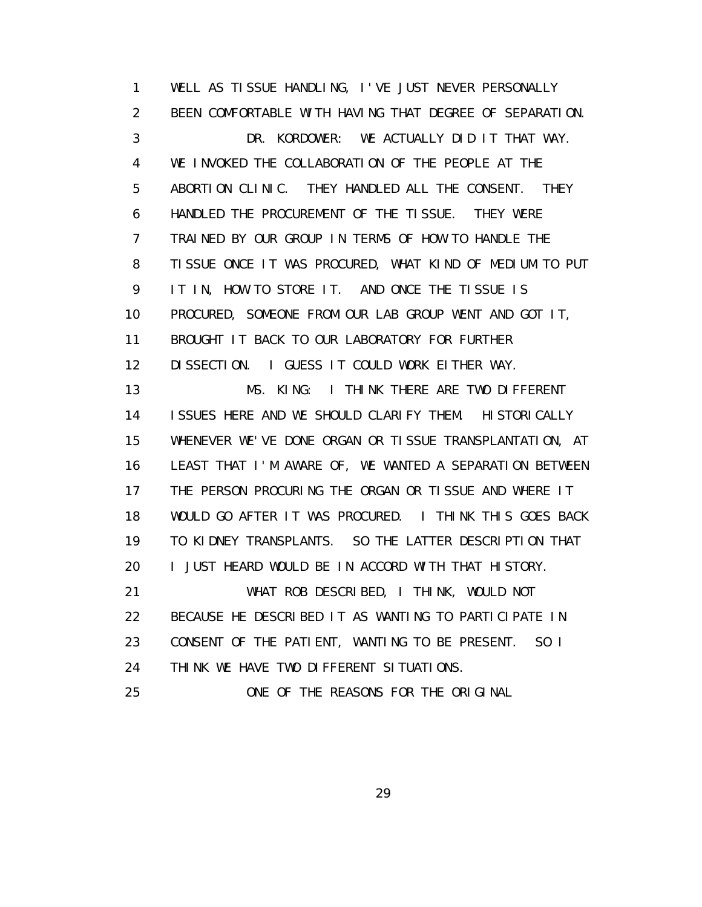1 WELL AS TISSUE HANDLING, I'VE JUST NEVER PERSONALLY 2 BEEN COMFORTABLE WITH HAVING THAT DEGREE OF SEPARATION. 3 DR. KORDOWER: WE ACTUALLY DID IT THAT WAY. 4 WE INVOKED THE COLLABORATION OF THE PEOPLE AT THE 5 ABORTION CLINIC. THEY HANDLED ALL THE CONSENT. THEY 6 HANDLED THE PROCUREMENT OF THE TISSUE. THEY WERE 7 TRAINED BY OUR GROUP IN TERMS OF HOW TO HANDLE THE 8 TISSUE ONCE IT WAS PROCURED, WHAT KIND OF MEDIUM TO PUT 9 IT IN, HOW TO STORE IT. AND ONCE THE TISSUE IS 10 PROCURED, SOMEONE FROM OUR LAB GROUP WENT AND GOT IT, 11 BROUGHT IT BACK TO OUR LABORATORY FOR FURTHER 12 DISSECTION. I GUESS IT COULD WORK EITHER WAY. 13 MS. KING: I THINK THERE ARE TWO DIFFERENT 14 ISSUES HERE AND WE SHOULD CLARIFY THEM. HISTORICALLY 15 WHENEVER WE'VE DONE ORGAN OR TISSUE TRANSPLANTATION, AT 16 LEAST THAT I'M AWARE OF, WE WANTED A SEPARATION BETWEEN 17 THE PERSON PROCURING THE ORGAN OR TISSUE AND WHERE IT 18 WOULD GO AFTER IT WAS PROCURED. I THINK THIS GOES BACK 19 TO KIDNEY TRANSPLANTS. SO THE LATTER DESCRIPTION THAT 20 I JUST HEARD WOULD BE IN ACCORD WITH THAT HISTORY. 21 WHAT ROB DESCRIBED, I THINK, WOULD NOT 22 BECAUSE HE DESCRIBED IT AS WANTING TO PARTICIPATE IN 23 CONSENT OF THE PATIENT, WANTING TO BE PRESENT. SO I 24 THINK WE HAVE TWO DIFFERENT SITUATIONS. 25 ONE OF THE REASONS FOR THE ORIGINAL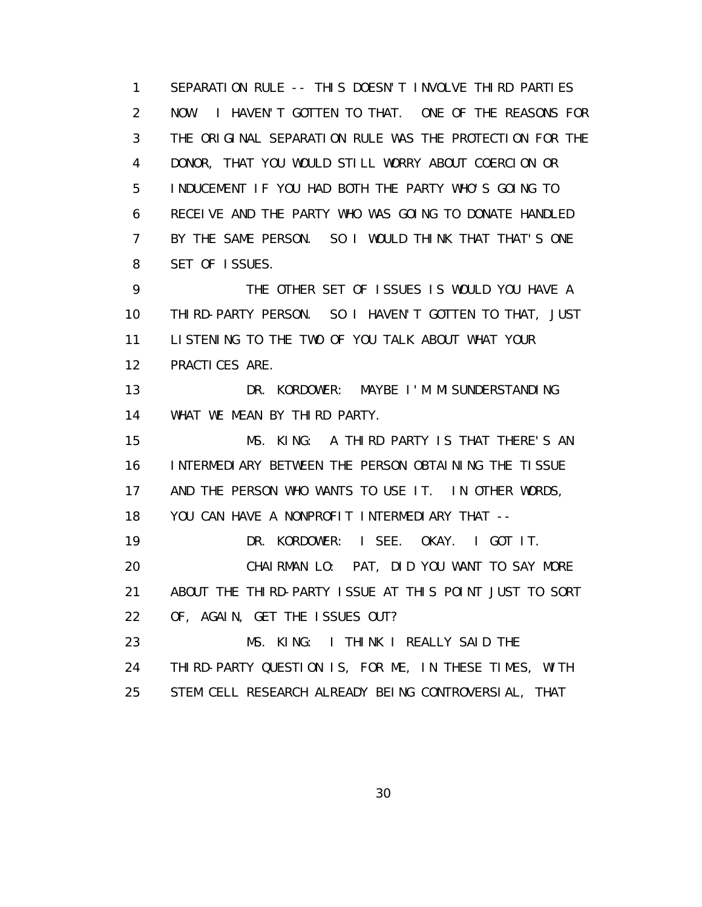1 SEPARATION RULE -- THIS DOESN'T INVOLVE THIRD PARTIES 2 NOW. I HAVEN'T GOTTEN TO THAT. ONE OF THE REASONS FOR 3 THE ORIGINAL SEPARATION RULE WAS THE PROTECTION FOR THE 4 DONOR, THAT YOU WOULD STILL WORRY ABOUT COERCION OR 5 INDUCEMENT IF YOU HAD BOTH THE PARTY WHO'S GOING TO 6 RECEIVE AND THE PARTY WHO WAS GOING TO DONATE HANDLED 7 BY THE SAME PERSON. SO I WOULD THINK THAT THAT'S ONE 8 SET OF ISSUES. 9 THE OTHER SET OF ISSUES IS WOULD YOU HAVE A

 10 THIRD-PARTY PERSON. SO I HAVEN'T GOTTEN TO THAT, JUST 11 LISTENING TO THE TWO OF YOU TALK ABOUT WHAT YOUR 12 PRACTICES ARE.

 13 DR. KORDOWER: MAYBE I'M MISUNDERSTANDING 14 WHAT WE MEAN BY THIRD PARTY.

 15 MS. KING: A THIRD PARTY IS THAT THERE'S AN 16 INTERMEDIARY BETWEEN THE PERSON OBTAINING THE TISSUE 17 AND THE PERSON WHO WANTS TO USE IT. IN OTHER WORDS, 18 YOU CAN HAVE A NONPROFIT INTERMEDIARY THAT -- 19 DR. KORDOWER: I SEE. OKAY. I GOT IT. 20 CHAIRMAN LO: PAT, DID YOU WANT TO SAY MORE 21 ABOUT THE THIRD-PARTY ISSUE AT THIS POINT JUST TO SORT 22 OF, AGAIN, GET THE ISSUES OUT? 23 MS. KING: I THINK I REALLY SAID THE 24 THIRD-PARTY QUESTION IS, FOR ME, IN THESE TIMES, WITH

25 STEM CELL RESEARCH ALREADY BEING CONTROVERSIAL, THAT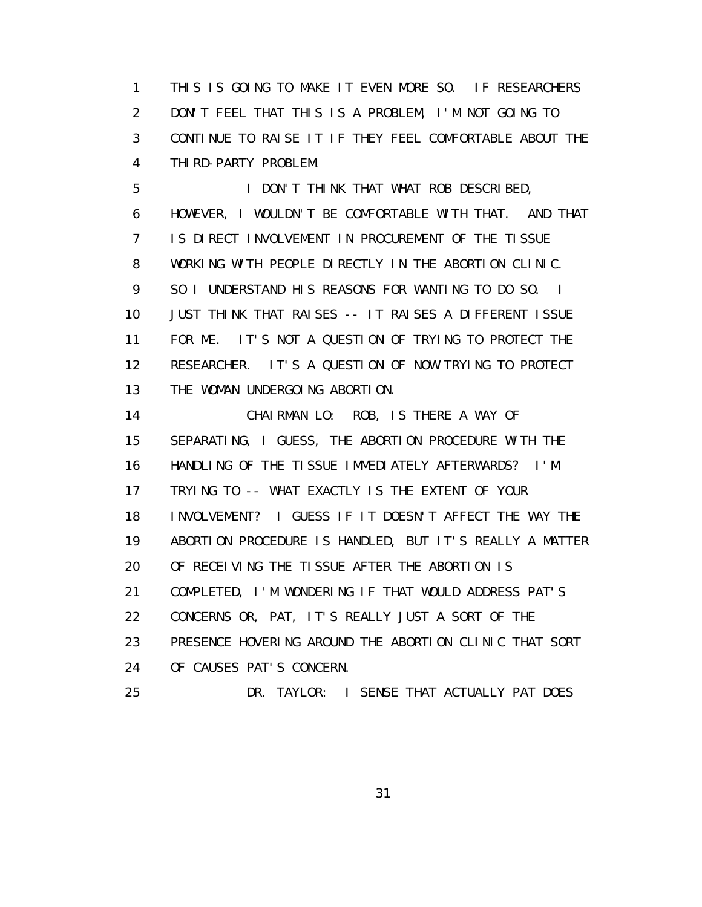1 THIS IS GOING TO MAKE IT EVEN MORE SO. IF RESEARCHERS 2 DON'T FEEL THAT THIS IS A PROBLEM, I'M NOT GOING TO 3 CONTINUE TO RAISE IT IF THEY FEEL COMFORTABLE ABOUT THE 4 THIRD-PARTY PROBLEM.

 5 I DON'T THINK THAT WHAT ROB DESCRIBED, 6 HOWEVER, I WOULDN'T BE COMFORTABLE WITH THAT. AND THAT 7 IS DIRECT INVOLVEMENT IN PROCUREMENT OF THE TISSUE 8 WORKING WITH PEOPLE DIRECTLY IN THE ABORTION CLINIC. 9 SO I UNDERSTAND HIS REASONS FOR WANTING TO DO SO. I 10 JUST THINK THAT RAISES -- IT RAISES A DIFFERENT ISSUE 11 FOR ME. IT'S NOT A QUESTION OF TRYING TO PROTECT THE 12 RESEARCHER. IT'S A QUESTION OF NOW TRYING TO PROTECT 13 THE WOMAN UNDERGOING ABORTION.

 14 CHAIRMAN LO: ROB, IS THERE A WAY OF 15 SEPARATING, I GUESS, THE ABORTION PROCEDURE WITH THE 16 HANDLING OF THE TISSUE IMMEDIATELY AFTERWARDS? I'M 17 TRYING TO -- WHAT EXACTLY IS THE EXTENT OF YOUR 18 INVOLVEMENT? I GUESS IF IT DOESN'T AFFECT THE WAY THE 19 ABORTION PROCEDURE IS HANDLED, BUT IT'S REALLY A MATTER 20 OF RECEIVING THE TISSUE AFTER THE ABORTION IS 21 COMPLETED, I'M WONDERING IF THAT WOULD ADDRESS PAT'S 22 CONCERNS OR, PAT, IT'S REALLY JUST A SORT OF THE 23 PRESENCE HOVERING AROUND THE ABORTION CLINIC THAT SORT 24 OF CAUSES PAT'S CONCERN.

25 DR. TAYLOR: I SENSE THAT ACTUALLY PAT DOES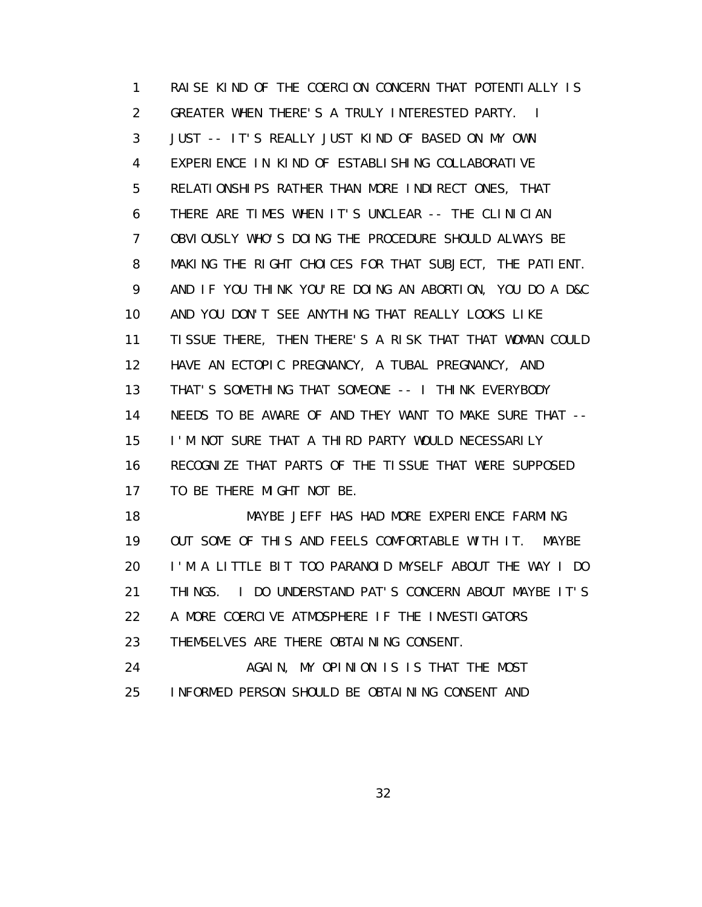1 RAISE KIND OF THE COERCION CONCERN THAT POTENTIALLY IS 2 GREATER WHEN THERE'S A TRULY INTERESTED PARTY. I 3 JUST -- IT'S REALLY JUST KIND OF BASED ON MY OWN 4 EXPERIENCE IN KIND OF ESTABLISHING COLLABORATIVE 5 RELATIONSHIPS RATHER THAN MORE INDIRECT ONES, THAT 6 THERE ARE TIMES WHEN IT'S UNCLEAR -- THE CLINICIAN 7 OBVIOUSLY WHO'S DOING THE PROCEDURE SHOULD ALWAYS BE 8 MAKING THE RIGHT CHOICES FOR THAT SUBJECT, THE PATIENT. 9 AND IF YOU THINK YOU'RE DOING AN ABORTION, YOU DO A D&C 10 AND YOU DON'T SEE ANYTHING THAT REALLY LOOKS LIKE 11 TISSUE THERE, THEN THERE'S A RISK THAT THAT WOMAN COULD 12 HAVE AN ECTOPIC PREGNANCY, A TUBAL PREGNANCY, AND 13 THAT'S SOMETHING THAT SOMEONE -- I THINK EVERYBODY 14 NEEDS TO BE AWARE OF AND THEY WANT TO MAKE SURE THAT -- 15 I'M NOT SURE THAT A THIRD PARTY WOULD NECESSARILY 16 RECOGNIZE THAT PARTS OF THE TISSUE THAT WERE SUPPOSED 17 TO BE THERE MIGHT NOT BE.

18 MAYBE JEFF HAS HAD MORE EXPERIENCE FARMING 19 OUT SOME OF THIS AND FEELS COMFORTABLE WITH IT. MAYBE 20 I'M A LITTLE BIT TOO PARANOID MYSELF ABOUT THE WAY I DO 21 THINGS. I DO UNDERSTAND PAT'S CONCERN ABOUT MAYBE IT'S 22 A MORE COERCIVE ATMOSPHERE IF THE INVESTIGATORS 23 THEMSELVES ARE THERE OBTAINING CONSENT.

 24 AGAIN, MY OPINION IS IS THAT THE MOST 25 INFORMED PERSON SHOULD BE OBTAINING CONSENT AND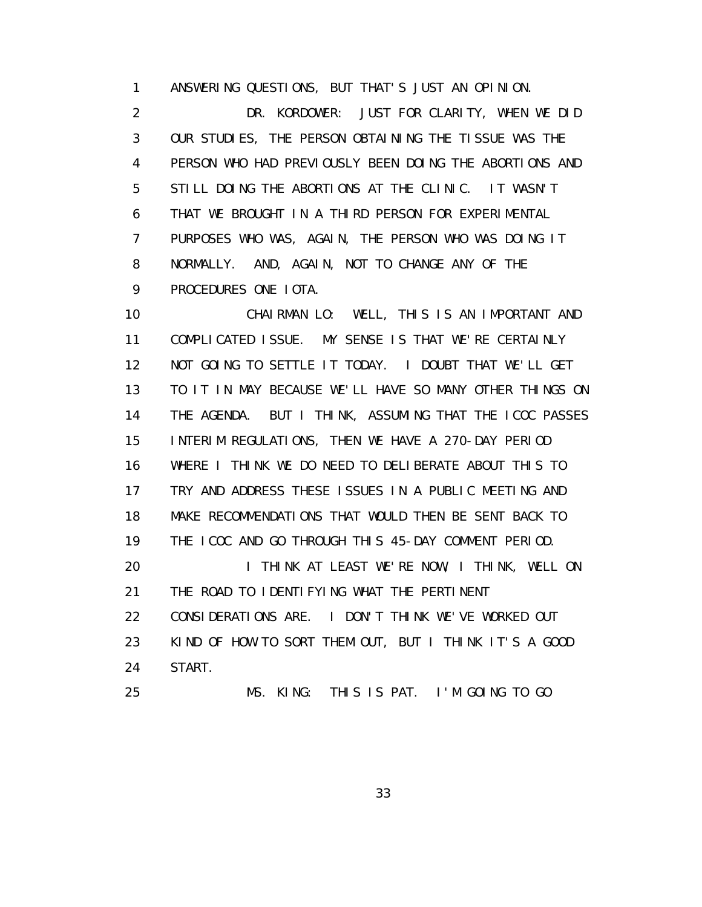1 ANSWERING QUESTIONS, BUT THAT'S JUST AN OPINION.

 2 DR. KORDOWER: JUST FOR CLARITY, WHEN WE DID 3 OUR STUDIES, THE PERSON OBTAINING THE TISSUE WAS THE 4 PERSON WHO HAD PREVIOUSLY BEEN DOING THE ABORTIONS AND 5 STILL DOING THE ABORTIONS AT THE CLINIC. IT WASN'T 6 THAT WE BROUGHT IN A THIRD PERSON FOR EXPERIMENTAL 7 PURPOSES WHO WAS, AGAIN, THE PERSON WHO WAS DOING IT 8 NORMALLY. AND, AGAIN, NOT TO CHANGE ANY OF THE 9 PROCEDURES ONE IOTA.

 10 CHAIRMAN LO: WELL, THIS IS AN IMPORTANT AND 11 COMPLICATED ISSUE. MY SENSE IS THAT WE'RE CERTAINLY 12 NOT GOING TO SETTLE IT TODAY. I DOUBT THAT WE'LL GET 13 TO IT IN MAY BECAUSE WE'LL HAVE SO MANY OTHER THINGS ON 14 THE AGENDA. BUT I THINK, ASSUMING THAT THE ICOC PASSES 15 INTERIM REGULATIONS, THEN WE HAVE A 270-DAY PERIOD 16 WHERE I THINK WE DO NEED TO DELIBERATE ABOUT THIS TO 17 TRY AND ADDRESS THESE ISSUES IN A PUBLIC MEETING AND 18 MAKE RECOMMENDATIONS THAT WOULD THEN BE SENT BACK TO 19 THE ICOC AND GO THROUGH THIS 45-DAY COMMENT PERIOD. 20 **I THINK AT LEAST WE'RE NOW, I THINK, WELL ON**  21 THE ROAD TO IDENTIFYING WHAT THE PERTINENT 22 CONSIDERATIONS ARE. I DON'T THINK WE'VE WORKED OUT 23 KIND OF HOW TO SORT THEM OUT, BUT I THINK IT'S A GOOD 24 START. 25 MS. KING: THIS IS PAT. I'M GOING TO GO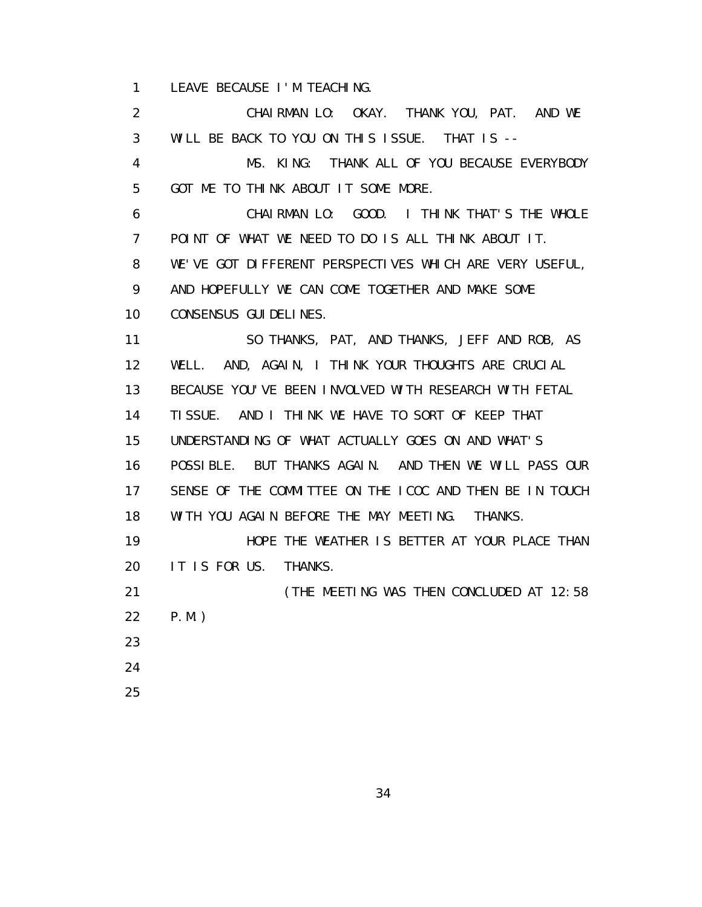1 LEAVE BECAUSE I'M TEACHING.

 2 CHAIRMAN LO: OKAY. THANK YOU, PAT. AND WE 3 WILL BE BACK TO YOU ON THIS ISSUE. THAT IS -- 4 MS. KING: THANK ALL OF YOU BECAUSE EVERYBODY 5 GOT ME TO THINK ABOUT IT SOME MORE. 6 CHAIRMAN LO: GOOD. I THINK THAT'S THE WHOLE 7 POINT OF WHAT WE NEED TO DO IS ALL THINK ABOUT IT. 8 WE'VE GOT DIFFERENT PERSPECTIVES WHICH ARE VERY USEFUL, 9 AND HOPEFULLY WE CAN COME TOGETHER AND MAKE SOME 10 CONSENSUS GUIDELINES. 11 SO THANKS, PAT, AND THANKS, JEFF AND ROB, AS 12 WELL. AND, AGAIN, I THINK YOUR THOUGHTS ARE CRUCIAL 13 BECAUSE YOU'VE BEEN INVOLVED WITH RESEARCH WITH FETAL 14 TISSUE. AND I THINK WE HAVE TO SORT OF KEEP THAT 15 UNDERSTANDING OF WHAT ACTUALLY GOES ON AND WHAT'S 16 POSSIBLE. BUT THANKS AGAIN. AND THEN WE WILL PASS OUR 17 SENSE OF THE COMMITTEE ON THE ICOC AND THEN BE IN TOUCH 18 WITH YOU AGAIN BEFORE THE MAY MEETING. THANKS. 19 HOPE THE WEATHER IS BETTER AT YOUR PLACE THAN 20 IT IS FOR US. THANKS. 21 **CHE MEETING WAS THEN CONCLUDED AT 12:58**  22 P.M.) 23 24 25